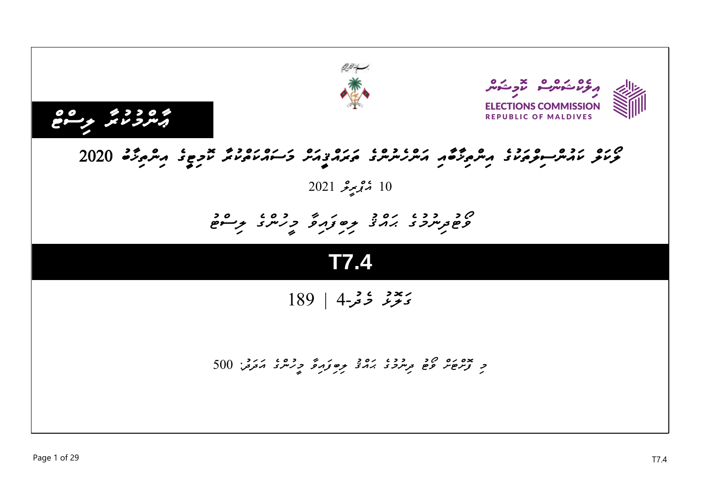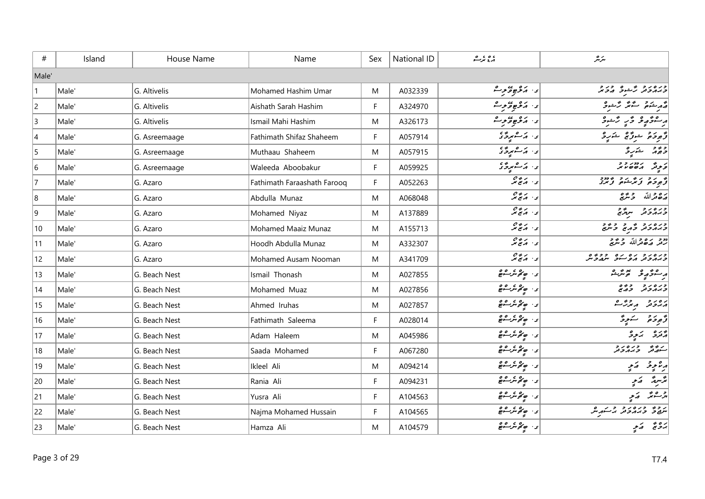| #              | Island | House Name    | Name                        | Sex | National ID | ، ه ، ره<br>مر: برگ                                                                                                                                                                                                                                                                                                                  | ىئرىتر                                         |
|----------------|--------|---------------|-----------------------------|-----|-------------|--------------------------------------------------------------------------------------------------------------------------------------------------------------------------------------------------------------------------------------------------------------------------------------------------------------------------------------|------------------------------------------------|
| Male'          |        |               |                             |     |             |                                                                                                                                                                                                                                                                                                                                      |                                                |
|                | Male'  | G. Altivelis  | Mohamed Hashim Umar         | M   | A032339     | ى ئەقرىي قۇمرىشە                                                                                                                                                                                                                                                                                                                     | ورەر د بول در د                                |
| $ 2\rangle$    | Male'  | G. Altivelis  | Aishath Sarah Hashim        | F   | A324970     | ى ئەقرىي قۇمرىشە                                                                                                                                                                                                                                                                                                                     | ۇرمۇم س <i>ۇنى راھب</i> ۇ                      |
| $\vert$ 3      | Male'  | G. Altivelis  | Ismail Mahi Hashim          | M   | A326173     | ى ئەقرىي قۇمرىشە                                                                                                                                                                                                                                                                                                                     | ر عۇرپۇ ۋې ئاھرى                               |
| $\overline{4}$ | Male'  | G. Asreemaage | Fathimath Shifaz Shaheem    | F   | A057914     | ى پەكسىمپرىتى<br>ئ                                                                                                                                                                                                                                                                                                                   | رَّمِ دَمَ شِرَرَّ شَرِرَّ                     |
| $\overline{5}$ | Male'  | G. Asreemaage | Muthaau Shaheem             | M   | A057915     | ى ئەكەمبوۋى                                                                                                                                                                                                                                                                                                                          | ووو شرو                                        |
| $\overline{6}$ | Male'  | G. Asreemaage | Waleeda Aboobakur           | F   | A059925     | ى پەكسىپودى<br>ئ                                                                                                                                                                                                                                                                                                                     | د و دور دو<br>د پوتگر مان موسی                 |
| 7              | Male'  | G. Azaro      | Fathimath Faraashath Farooq | F   | A052263     | 25.5.5                                                                                                                                                                                                                                                                                                                               | و د د د د د د و ود و<br>د کامونه و تر شوم و تر |
| 8              | Male'  | G. Azaro      | Abdulla Munaz               | M   | A068048     | 25.5.5                                                                                                                                                                                                                                                                                                                               | أرجع قرالله وتمريح                             |
| 9              | Male'  | G. Azaro      | Mohamed Niyaz               | M   | A137889     | ى بە ئەتىمى                                                                                                                                                                                                                                                                                                                          | כנסגב ייטרה                                    |
| 10             | Male'  | G. Azaro      | <b>Mohamed Maaiz Munaz</b>  | M   | A155713     | ى بە ئەتىمىگە                                                                                                                                                                                                                                                                                                                        |                                                |
| 11             | Male'  | G. Azaro      | Hoodh Abdulla Munaz         | M   | A332307     | ى بە ئەتىر                                                                                                                                                                                                                                                                                                                           | دو برە دالله دېگرې                             |
| 12             | Male'  | G. Azaro      | Mohamed Ausam Nooman        | M   | A341709     | <sub>ى</sub> بەتىمىگە                                                                                                                                                                                                                                                                                                                | כנסגב גם גם בכשם<br>כגמבת מפייב יינמבית        |
| 13             | Male'  | G. Beach Nest | Ismail Thonash              | M   | A027855     | $\frac{1}{2}$ ى بىر ئەرگە ئ                                                                                                                                                                                                                                                                                                          | أرسوتر والمحتربة                               |
| 14             | Male'  | G. Beach Nest | Mohamed Muaz                | M   | A027856     | ى ئەھمەر ئىرىسى                                                                                                                                                                                                                                                                                                                      | 042 21012                                      |
| 15             | Male'  | G. Beach Nest | Ahmed Iruhas                | M   | A027857     | ى ئەھمە ئەرمىق                                                                                                                                                                                                                                                                                                                       | رەرد مەرقب                                     |
| 16             | Male'  | G. Beach Nest | Fathimath Saleema           | F.  | A028014     | $ z-\hat{z} $ ى مەھمىر ئىس                                                                                                                                                                                                                                                                                                           | أزودة كالمنجرة                                 |
| 17             | Male'  | G. Beach Nest | Adam Haleem                 | M   | A045986     | $\left  \begin{array}{cc} \mathcal{E} & \mathcal{E} & \mathcal{E} \ & \mathcal{E} & \mathcal{E} \ & \mathcal{E} & \mathcal{E} \ \end{array} \right $                                                                                                                                                                                 | أرتره برود                                     |
| 18             | Male'  | G. Beach Nest | Saada Mohamed               | F   | A067280     | $\left  \begin{array}{cc} \mathcal{E} & \mathcal{E} & \mathcal{E} \ & \mathcal{E} & \mathcal{E} \ & \mathcal{E} & \mathcal{E} \ \end{array} \right $                                                                                                                                                                                 | سەھ دىرەرد                                     |
| 19             | Male'  | G. Beach Nest | Ikleel Ali                  | M   | A094214     | ى ئەھمە ئىر شەھ                                                                                                                                                                                                                                                                                                                      | أبرع ويحر وكالمحير                             |
| 20             | Male'  | G. Beach Nest | Rania Ali                   | F.  | A094231     | $\left  \begin{array}{cc} 2 & 2 & 2 \ 2 & 3 & 2 \end{array} \right $                                                                                                                                                                                                                                                                 | برٌسرهٌ پَهِ پِ                                |
| 21             | Male'  | G. Beach Nest | Yusra Ali                   | F   | A104563     | $\left  \begin{array}{cc} 2 & 2 & 2 \ 2 & 3 & 2 \end{array} \right $                                                                                                                                                                                                                                                                 | د ه پر در                                      |
| 22             | Male'  | G. Beach Nest | Najma Mohamed Hussain       | F   | A104565     | $\left[ \begin{array}{ccc} 0 & 0 & 0 & 0 \\ 0 & 0 & 0 & 0 \\ 0 & 0 & 0 & 0 \\ 0 & 0 & 0 & 0 \\ 0 & 0 & 0 & 0 \\ 0 & 0 & 0 & 0 \\ 0 & 0 & 0 & 0 \\ 0 & 0 & 0 & 0 \\ 0 & 0 & 0 & 0 \\ 0 & 0 & 0 & 0 \\ 0 & 0 & 0 & 0 \\ 0 & 0 & 0 & 0 \\ 0 & 0 & 0 & 0 \\ 0 & 0 & 0 & 0 \\ 0 & 0 & 0 & 0 \\ 0 & 0 & 0 & 0 \\ 0 & 0 & 0 & 0 \\ 0 & 0 &$ | ر وه دره د د کرد.<br>سرچ و درم د د کرد شکور    |
| 23             | Male'  | G. Beach Nest | Hamza Ali                   | M   | A104579     | 20, 20, 0.0                                                                                                                                                                                                                                                                                                                          | پرویج   پرمو                                   |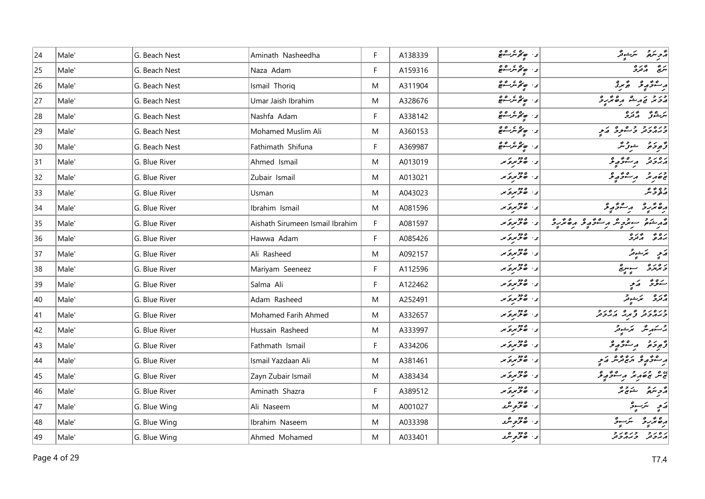| 24           | Male' | G. Beach Nest | Aminath Nasheedha               | F         | A138339 | $\left  \begin{array}{cc} \mathcal{E} & \mathcal{E} & \mathcal{E} \ & \mathcal{E} & \mathcal{E} \ & \mathcal{E} & \mathcal{E} \ \end{array} \right $                                                                                                                                                                               | أأروبتكم الترشوش                            |
|--------------|-------|---------------|---------------------------------|-----------|---------|------------------------------------------------------------------------------------------------------------------------------------------------------------------------------------------------------------------------------------------------------------------------------------------------------------------------------------|---------------------------------------------|
| 25           | Male' | G. Beach Nest | Naza Adam                       | F         | A159316 | $\left  \begin{array}{cc} \mathcal{E} & \mathcal{E} & \mathcal{E} \ & \mathcal{E} & \mathcal{E} \ & \mathcal{E} & \mathcal{E} \ \end{array} \right $                                                                                                                                                                               | أيريح أترتره                                |
| 26           | Male' | G. Beach Nest | Ismail Thorig                   | M         | A311904 | $\left  \begin{array}{cc} 2 & 2 & 2 \ 2 & 3 & 2 \end{array} \right $                                                                                                                                                                                                                                                               | أر شرقر و محمدة                             |
| 27           | Male' | G. Beach Nest | Umar Jaish Ibrahim              | M         | A328676 | $\left  \begin{matrix} 2 & 2 & 3 & 0 \\ 2 & 2 & 3 & 0 \\ 0 & 2 & 3 & 0 \\ 0 & 2 & 3 & 0 \\ 0 & 2 & 3 & 0 \\ 0 & 2 & 3 & 0 \\ 0 & 2 & 3 & 0 \\ 0 & 2 & 3 & 0 \\ 0 & 2 & 3 & 0 \\ 0 & 2 & 3 & 0 \\ 0 & 2 & 3 & 0 \\ 0 & 2 & 3 & 0 \\ 0 & 2 & 3 & 0 \\ 0 & 2 & 3 & 0 \\ 0 & 2 & 3 & 0 \\ 0 & 2 & 3 & 0 \\ 0 & 2 & 3 & 0 \\ 0 & 2 & 3$ |                                             |
| 28           | Male' | G. Beach Nest | Nashfa Adam                     | F         | A338142 | $\left  \begin{array}{cc} & \circ & \circ & \circ \ & \circ & \circ \end{array} \right $                                                                                                                                                                                                                                           | برعوش ويمانى                                |
| 29           | Male' | G. Beach Nest | Mohamed Muslim Ali              | M         | A360153 | $\left  \begin{array}{cc} \mathcal{E} & \mathcal{E} & \mathcal{E} \ & \mathcal{E} & \mathcal{E} \ & \mathcal{E} & \mathcal{E} \ \end{array} \right $                                                                                                                                                                               | ورەرو ورمود كمي                             |
| 30           | Male' | G. Beach Nest | Fathimath Shifuna               | F         | A369987 | $\left  \begin{array}{cc} 2 & 2 & 2 \ 2 & 3 & 2 \end{array} \right $                                                                                                                                                                                                                                                               | قرجوخرة مستوقيته                            |
| 31           | Male' | G. Blue River | Ahmed Ismail                    | M         | A013019 | ء <sub>`</sub> ھۆمرە بر                                                                                                                                                                                                                                                                                                            | رەرو رەۋرو                                  |
| 32           | Male' | G. Blue River | Zubair Ismail                   | ${\sf M}$ | A013021 | ى ھۆمرە بر                                                                                                                                                                                                                                                                                                                         | $3.500$ $2.000$                             |
| 33           | Male' | G. Blue River | Usman                           | M         | A043023 | د گ <sup>ود</sup> بره بر                                                                                                                                                                                                                                                                                                           | وه و و<br>مرفو څر                           |
| 34           | Male' | G. Blue River | Ibrahim Ismail                  | M         | A081596 | ئ ھۆمرەكىر                                                                                                                                                                                                                                                                                                                         | رەپرىر بەسترىپى                             |
| 35           | Male' | G. Blue River | Aishath Sirumeen Ismail Ibrahim | F         | A081597 | $\left  \begin{array}{cc} \mathbf{1} & \mathbf{1} & \mathbf{1} & \mathbf{1} \\ \mathbf{1} & \mathbf{1} & \mathbf{1} & \mathbf{1} \\ \mathbf{1} & \mathbf{1} & \mathbf{1} & \mathbf{1} \end{array} \right $                                                                                                                         |                                             |
| 36           | Male' | G. Blue River | Hawwa Adam                      | F         | A085426 | ى ھۆتىرە بىر                                                                                                                                                                                                                                                                                                                       | ره و وره                                    |
| 37           | Male' | G. Blue River | Ali Rasheed                     | M         | A092157 | ى ھۆسرە بر                                                                                                                                                                                                                                                                                                                         | أركمني المركب وتر                           |
| 38           | Male' | G. Blue River | Mariyam Seeneez                 | F         | A112596 | ى ھۆمرە بر                                                                                                                                                                                                                                                                                                                         | دەرو سەرى                                   |
| 39           | Male' | G. Blue River | Salma Ali                       | F         | A122462 | ى ھۆمرە بر                                                                                                                                                                                                                                                                                                                         | لتوقى مقر                                   |
| 40           | Male' | G. Blue River | Adam Rasheed                    | M         | A252491 | ى ئەقۋىرە ئىر                                                                                                                                                                                                                                                                                                                      | أمرقر ترشوقر                                |
| 41           | Male' | G. Blue River | Mohamed Farih Ahmed             | M         | A332657 | د گ <sup>ود</sup> بروند                                                                                                                                                                                                                                                                                                            | ورەرد ۋىر مەدد                              |
| 42           | Male' | G. Blue River | Hussain Rasheed                 | M         | A333997 | ى ھۆمرە بر                                                                                                                                                                                                                                                                                                                         | رحم المراكز المركب وكر                      |
| $ 43\rangle$ | Male' | G. Blue River | Fathmath Ismail                 | F         | A334206 | ى ھۆمرە بر                                                                                                                                                                                                                                                                                                                         | أوجود وعودو                                 |
| 44           | Male' | G. Blue River | Ismail Yazdaan Ali              | ${\sf M}$ | A381461 | ى ھۆمرە بر                                                                                                                                                                                                                                                                                                                         | ر صو ده ده ده د د د                         |
| 45           | Male' | G. Blue River | Zayn Zubair Ismail              | M         | A383434 | ى ھۆمرە بر                                                                                                                                                                                                                                                                                                                         | 3.8000000000000000                          |
| 46           | Male' | G. Blue River | Aminath Shazra                  | F         | A389512 | ى ھۆمرە بر                                                                                                                                                                                                                                                                                                                         |                                             |
| 47           | Male' | G. Blue Wing  | Ali Naseem                      | M         | A001027 | ء ۽ ڇڙو پٿري                                                                                                                                                                                                                                                                                                                       | ړې سربېږ ه<br>مړينې                         |
| 48           | Male' | G. Blue Wing  | Ibrahim Naseem                  | M         | A033398 | و مص <i>خره م</i> شمه                                                                                                                                                                                                                                                                                                              |                                             |
| 49           | Male' | G. Blue Wing  | Ahmed Mohamed                   | ${\sf M}$ | A033401 | ى ھۆرمىد                                                                                                                                                                                                                                                                                                                           | ر <i>ס ג</i> כ ג ס ג כ<br>ג ג כ ג ג ג ג ב ג |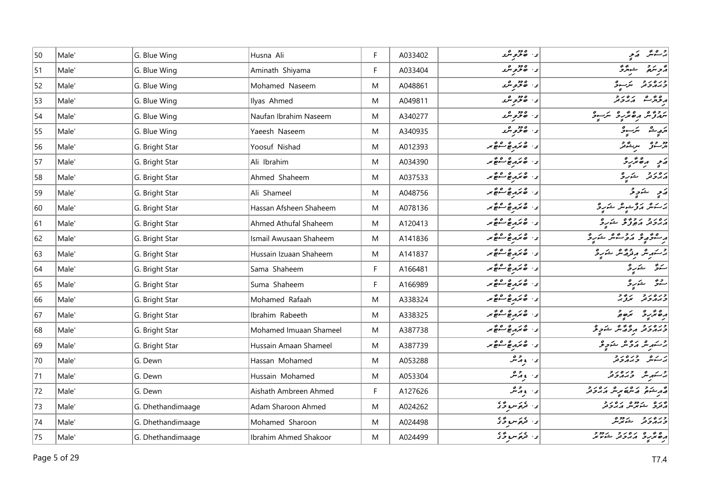| 50 | Male' | G. Blue Wing      | Husna Ali              | F  | A033402 | ى ئەقتۇمەشمە                                                                                                                                                                                                                                                                                                        | چرممنگر اورامچ                                                                                                  |
|----|-------|-------------------|------------------------|----|---------|---------------------------------------------------------------------------------------------------------------------------------------------------------------------------------------------------------------------------------------------------------------------------------------------------------------------|-----------------------------------------------------------------------------------------------------------------|
| 51 | Male' | G. Blue Wing      | Aminath Shiyama        | F  | A033404 | ى ھۆ <sub>ھم</sub> ىشى                                                                                                                                                                                                                                                                                              | أأدجر المتمركة المستور                                                                                          |
| 52 | Male' | G. Blue Wing      | Mohamed Naseem         | M  | A048861 | ی په دوسره                                                                                                                                                                                                                                                                                                          | כנסגב ת-פ                                                                                                       |
| 53 | Male' | G. Blue Wing      | Ilyas Ahmed            | M  | A049811 | ى ھۆھەترى                                                                                                                                                                                                                                                                                                           | موجر مدور                                                                                                       |
| 54 | Male' | G. Blue Wing      | Naufan Ibrahim Naseem  | M  | A340277 | ى ھۆرىگىمى                                                                                                                                                                                                                                                                                                          | ردوه مصروف ترجو                                                                                                 |
| 55 | Male' | G. Blue Wing      | Yaeesh Naseem          | M  | A340935 | ى ھۆرىگى                                                                                                                                                                                                                                                                                                            | <i>مکہنے مک</i> رو                                                                                              |
| 56 | Male' | G. Bright Star    | Yoosuf Nishad          | M  | A012393 | ى ھىمەھ ھۇسۋىر                                                                                                                                                                                                                                                                                                      | دو وه سرشور<br>مرسور سرشور                                                                                      |
| 57 | Male' | G. Bright Star    | Ali Ibrahim            | M  | A034390 | ى ھىمرەغ شقى                                                                                                                                                                                                                                                                                                        | أوسم وه مركز                                                                                                    |
| 58 | Male' | G. Bright Star    | Ahmed Shaheem          | M  | A037533 | ى ھىزر ھېشقى                                                                                                                                                                                                                                                                                                        | أرەر دىر ھ                                                                                                      |
| 59 | Male' | G. Bright Star    | Ali Shameel            | M  | A048756 | ى ھىزىر ھىشوڭىر                                                                                                                                                                                                                                                                                                     | أركمني المستولي                                                                                                 |
| 60 | Male' | G. Bright Star    | Hassan Afsheen Shaheem | M  | A078136 | ى ھىمرەغ شقى                                                                                                                                                                                                                                                                                                        | ر<br>رکامل مرکز شوش شرره<br>مستقرر                                                                              |
| 61 | Male' | G. Bright Star    | Ahmed Athufal Shaheem  | M  | A120413 | 3. ھَمَر مِ ھِ شَقَّ مَر                                                                                                                                                                                                                                                                                            | ג סגב גברים בינים                                                                                               |
| 62 | Male' | G. Bright Star    | Ismail Awusaan Shaheem | M  | A141836 | ى ھىزىر ھىشوڭىر                                                                                                                                                                                                                                                                                                     | رەم ۋە ئەۋسەر ھەرە                                                                                              |
| 63 | Male' | G. Bright Star    | Hussain Izuaan Shaheem | M  | A141837 |                                                                                                                                                                                                                                                                                                                     | بر سکر مگر مرفره مگر مشر کرد که در ایران کرده کرد که در ایران کرد که در ایران کرد که به کار می کرد که به کار کر |
| 64 | Male' | G. Bright Star    | Sama Shaheem           | F  | A166481 | ى ھىزىر ھىسوڭىر                                                                                                                                                                                                                                                                                                     | سكركة التكرير                                                                                                   |
| 65 | Male' | G. Bright Star    | Suma Shaheem           | F. | A166989 | ى ھىزىر ھېشىۋىر                                                                                                                                                                                                                                                                                                     | رحمى الكاراقي                                                                                                   |
| 66 | Male' | G. Bright Star    | Mohamed Rafaah         | M  | A338324 | ى ھىمرەغ شقى                                                                                                                                                                                                                                                                                                        | ورەر د رود<br><i>دى</i> رمەنر برق                                                                               |
| 67 | Male' | G. Bright Star    | Ibrahim Rabeeth        | M  | A338325 |                                                                                                                                                                                                                                                                                                                     | معتر و مرجع                                                                                                     |
| 68 | Male' | G. Bright Star    | Mohamed Imuaan Shameel | M  | A387738 | $\frac{1}{2}$ $\frac{1}{2}$ $\frac{1}{2}$ $\frac{1}{2}$ $\frac{1}{2}$ $\frac{1}{2}$ $\frac{1}{2}$ $\frac{1}{2}$ $\frac{1}{2}$ $\frac{1}{2}$ $\frac{1}{2}$ $\frac{1}{2}$ $\frac{1}{2}$ $\frac{1}{2}$ $\frac{1}{2}$ $\frac{1}{2}$ $\frac{1}{2}$ $\frac{1}{2}$ $\frac{1}{2}$ $\frac{1}{2}$ $\frac{1}{2}$ $\frac{1}{2}$ |                                                                                                                 |
| 69 | Male' | G. Bright Star    | Hussain Amaan Shameel  | M  | A387739 | ى ھىزىر ھىسوڭىر                                                                                                                                                                                                                                                                                                     | چە سەر سەر ئەھرىم ئەربۇ                                                                                         |
| 70 | Male' | G. Dewn           | Hassan Mohamed         | M  | A053288 | ای وړمنگه<br>په په د                                                                                                                                                                                                                                                                                                | ير کشته در در د                                                                                                 |
| 71 | Male' | G. Dewn           | Hussain Mohamed        | M  | A053304 | ى بورچىگە                                                                                                                                                                                                                                                                                                           | بر شهر وره دو                                                                                                   |
| 72 | Male' | G. Dewn           | Aishath Ambreen Ahmed  | F  | A127626 | ئ وېژىنگر                                                                                                                                                                                                                                                                                                           | התשים היינים היינים                                                                                             |
| 73 | Male' | G. Dhethandimaage | Adam Sharoon Ahmed     | M  | A024262 | ء متع متع محمد                                                                                                                                                                                                                                                                                                      | وره دروه ره دو<br>پرترو څونر پرترتر                                                                             |
| 74 | Male' | G. Dhethandimaage | Mohamed Sharoon        | M  | A024498 | ء • مَرْجَ مَسْعٍ حَرَّدَ                                                                                                                                                                                                                                                                                           | ورەرو شەھ<br><i>פەم</i> ەر شەھرس                                                                                |
| 75 | Male' | G. Dhethandimaage | Ibrahim Ahmed Shakoor  | M  | A024499 | ى ئۇمۇسو ۋې                                                                                                                                                                                                                                                                                                         | גם מים נפיר ביותר                                                                                               |
|    |       |                   |                        |    |         |                                                                                                                                                                                                                                                                                                                     |                                                                                                                 |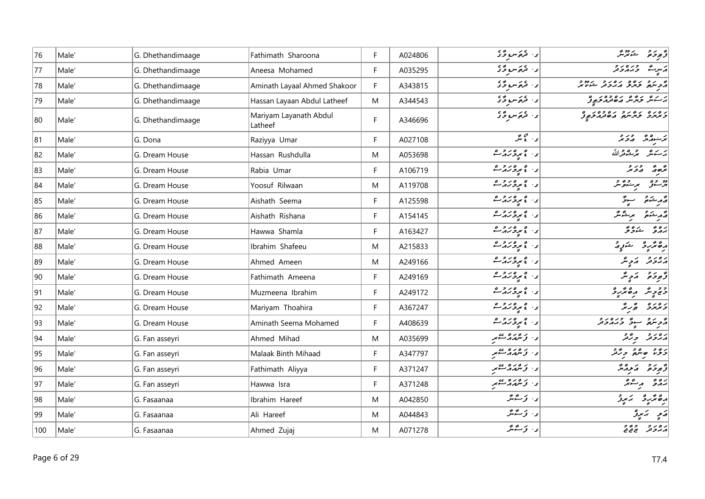| 76  | Male' | G. Dhethandimaage | Fathimath Sharoona                | F | A024806 | ى ئۇمۇسو ۋې                                   | أوجوحه خصير                                             |
|-----|-------|-------------------|-----------------------------------|---|---------|-----------------------------------------------|---------------------------------------------------------|
| 77  | Male' | G. Dhethandimaage | Aneesa Mohamed                    | F | A035295 | <sub>ى: ق</sub> رىمَ سو <i>چ</i> <sup>ى</sup> | و رە ر د<br>تر پر تر تر<br>ە ئەسرىسىگە                  |
| 78  | Male' | G. Dhethandimaage | Aminath Layaal Ahmed Shakoor      | F | A343815 | ء • مَرْحَوسو رَّحْمَ                         |                                                         |
| 79  | Male' | G. Dhethandimaage | Hassan Layaan Abdul Latheef       | M | A344543 | ء • مَرْحَوسو رَحْمَدُ                        | ر کره کرده کرده ده در و                                 |
| 80  | Male' | G. Dhethandimaage | Mariyam Layanath Abdul<br>Latheef | F | A346696 | <sub>ى</sub> ئىمۇسىۋىگە                       | ג סגם גזג כ גם כםגם.<br>כמחב <del>ב</del> חיית השנה בפי |
| 81  | Male' | G. Dona           | Raziyya Umar                      | F | A027108 | ی گونگر                                       | برسور ورو                                               |
| 82  | Male' | G. Dream House    | Hassan Rushdulla                  | M | A053698 | ى ، ؟ موڭرىرگە مە                             | برسة مر حر مر الله                                      |
| 83  | Male' | G. Dream House    | Rabia Umar                        | F | A106719 | ى ، ؟ بىر <i>ە رەم</i> م                      | $777 - 707$                                             |
| 84  | Male' | G. Dream House    | Yoosuf Rilwaan                    | M | A119708 | ى ، ؟ بېرى <i>رىدى</i> گ                      | ىر رەپچە بەر<br>در حره                                  |
| 85  | Male' | G. Dream House    | Aishath Seema                     | F | A125598 | ى ، ئۇ بورىر ق                                | أقرم شوقر المسوقر                                       |
| 86  | Male' | G. Dream House    | Aishath Rishana                   | F | A154145 | ى ، ؟ مرە ئەر قىگ                             | أقهر شكوته المرتفقير                                    |
| 87  | Male' | G. Dream House    | Hawwa Shamla                      | F | A163427 | ى ، ؟ بېرى <i>زىدى</i><br>ئ                   | رەپ خەرىپ                                               |
| 88  | Male' | G. Dream House    | Ibrahim Shafeeu                   | M | A215833 | ى ، ، موەرىرە مە                              | رەپرىر ئىر                                              |
| 89  | Male' | G. Dream House    | Ahmed Ameen                       | M | A249166 | ى ، ؟ بېرى <i>ز بەر م</i>                     |                                                         |
| 90  | Male' | G. Dream House    | Fathimath Ameena                  | F | A249169 | ى ، ؟ موچە ئەر <sup>م</sup>                   | تواودة الماديات                                         |
| 91  | Male' | G. Dream House    | Muzmeena Ibrahim                  | F | A249172 | ى ، ؟ موڭرىرگە مە                             | د و د پر<br>د پي پر<br>برە ئرىر ۋ                       |
| 92  | Male' | G. Dream House    | Mariyam Thoahira                  | F | A367247 | ى ، ؟ بىر <i>ۈركە</i> ر م                     | رەرە ئەر                                                |
| 93  | Male' | G. Dream House    | Aminath Seema Mohamed             | F | A408639 | ى ، ؟ بېرى <i>ز بەر م</i>                     | הכיתם ייפ כמחכת                                         |
| 94  | Male' | G. Fan asseyri    | Ahmed Mihad                       | M | A035699 | ى ئۆسىمەر ھەسىمبر                             | رەر دىر                                                 |
| 95  | Male' | G. Fan asseyri    | Malaak Binth Mihaad               | F | A347797 | ى ئۆسىدە مە                                   | دؤنا ومثنى ورمحنه                                       |
| 96  | Male' | G. Fan asseyri    | Fathimath Aliyya                  | F | A371247 | ى ئۆسىدە مە                                   | وتجوحكم المتوامير                                       |
| 97  | Male' | G. Fan asseyri    | Hawwa Isra                        | F | A371248 | ى ئۆسىدە شەبىر                                | برە ئەسىمە                                              |
| 98  | Male' | G. Fasaanaa       | Ibrahim Hareef                    | M | A042850 | ى - ئۇشگەنگە                                  | ەھترىرى ئەيرۇ                                           |
| 99  | Male' | G. Fasaanaa       | Ali Hareef                        | M | A044843 | ى - ئۇشگىنگە                                  | أەسمج أسكيرى                                            |
| 100 | Male' | G. Fasaanaa       | Ahmed Zujaj                       | M | A071278 | ى - ئۇشگىنگە                                  | رەرد دەد                                                |
|     |       |                   |                                   |   |         |                                               |                                                         |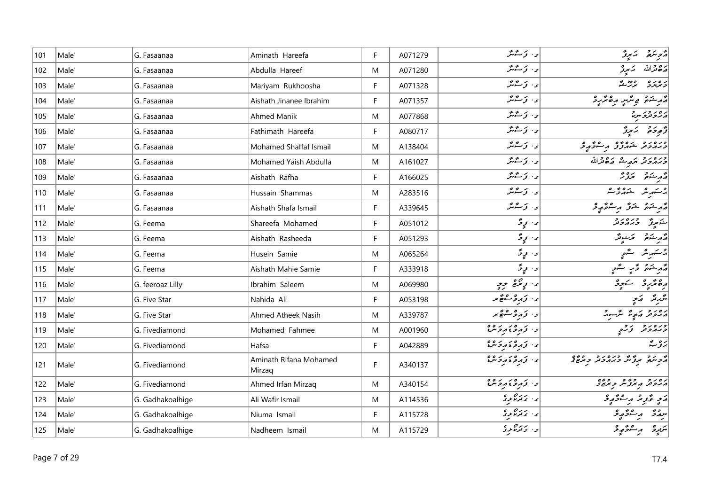| 101 | Male' | G. Fasaanaa      | Aminath Hareefa                  | F         | A071279 | ى - ئۇشگىنگە            | أأزحر سكتم أأستبير                               |
|-----|-------|------------------|----------------------------------|-----------|---------|-------------------------|--------------------------------------------------|
| 102 | Male' | G. Fasaanaa      | Abdulla Hareef                   | ${\sf M}$ | A071280 | ى - ئۇشگىر              | أصفح قدالله برمور                                |
| 103 | Male' | G. Fasaanaa      | Mariyam Rukhoosha                | F         | A071328 | ى - ئۇشگىنگە            | رەرە دەپ                                         |
| 104 | Male' | G. Fasaanaa      | Aishath Jinanee Ibrahim          | F         | A071357 | ى - ئۇشگىر              | وأرشكم وشرس وهندرد                               |
| 105 | Male' | G. Fasaanaa      | <b>Ahmed Manik</b>               | M         | A077868 | ى ئۇشگەنگە              | ر 2 ر 3 ر 2<br>ג ג 3 تر 5 س                      |
| 106 | Male' | G. Fasaanaa      | Fathimath Hareefa                | F         | A080717 | ى - ئۇشگەنگر            | وٌجوحَ مَ يَسِوُّ                                |
| 107 | Male' | G. Fasaanaa      | Mohamed Shaffaf Ismail           | M         | A138404 | ی- توسشهر               | ورەر د رەپەە دەپ دە                              |
| 108 | Male' | G. Fasaanaa      | Mohamed Yaish Abdulla            | M         | A161027 | ى - ئۇشگىر              | وبروبرد مررث ركافرالله                           |
| 109 | Male' | G. Fasaanaa      | Aishath Rafha                    | F         | A166025 | ى ئۆشەتىگە              | أقهر يشكونه المترور                              |
| 110 | Male' | G. Fasaanaa      | Hussain Shammas                  | M         | A283516 | ى ئۆشەتىگە              | بر سەر شەر ئەس                                   |
| 111 | Male' | G. Fasaanaa      | Aishath Shafa Ismail             | F         | A339645 | ى ئۆشەتىگە              | ە ئەستىم خىق بەسىۋە يۇ                           |
| 112 | Male' | G. Feema         | Shareefa Mohamed                 | F         | A051012 | ى بەرگە                 | أشكيرته وبره رو                                  |
| 113 | Male' | G. Feema         | Aishath Rasheeda                 | F         | A051293 | ى بوگ                   | أقهر مشكاة والمتمر تكريحكم                       |
| 114 | Male' | G. Feema         | Husein Samie                     | M         | A065264 | ى بوگ                   | بر سکه شه شه مستمو <sub>ح</sub><br>مسلم          |
| 115 | Male' | G. Feema         | Aishath Mahie Samie              | F         | A333918 | ى الميرگ                |                                                  |
| 116 | Male' | G. feeroaz Lilly | Ibrahim Saleem                   | M         | A069980 | والمحفظ لمرمج           |                                                  |
| 117 | Male' | G. Five Star     | Nahida Ali                       | F         | A053198 | ى ئۇمۇھىقىم             | بتزبرقر اركمني                                   |
| 118 | Male' | G. Five Star     | <b>Ahmed Atheek Nasih</b>        | M         | A339787 | ى ئۇمۇھ سىۋىم           | رەرد روپا سگېږ                                   |
| 119 | Male' | G. Fivediamond   | Mohamed Fahmee                   | M         | A001960 | ت <i>נופ</i> זת בית     | وره رو دو په                                     |
| 120 | Male' | G. Fivediamond   | Hafsa                            | F         | A042889 | ى ئەرە ئەر ئەرى         | برو میژ                                          |
| 121 | Male' | G. Fivediamond   | Aminath Rifana Mohamed<br>Mirzaq | F         | A340137 | 80, 10, 10, 3.5         | أثر وسرقه المروج المرادر المرادر والمراج والمراج |
| 122 | Male' | G. Fivediamond   | Ahmed Irfan Mirzaq               | ${\sf M}$ | A340154 | ى ئەرە ئەرىكى           | أرور و برؤند و برخ د                             |
| 123 | Male' | G. Gadhakoalhige | Ali Wafir Ismail                 | M         | A114536 | <br>  د کا تمارهم مودگا | ړې وگړې د عوصو                                   |
| 124 | Male' | G. Gadhakoalhige | Niuma Ismail                     | F         | A115728 | <br>  د کی تورهم عربی   | البرجر والشرخ ويحر                               |
| 125 | Male' | G. Gadhakoalhige | Nadheem Ismail                   | ${\sf M}$ | A115729 | ، دې ده ده              | سَمِرِهْ مِنْ مِنْ مِنْ مِنْ مِنْ                |
|     |       |                  |                                  |           |         |                         |                                                  |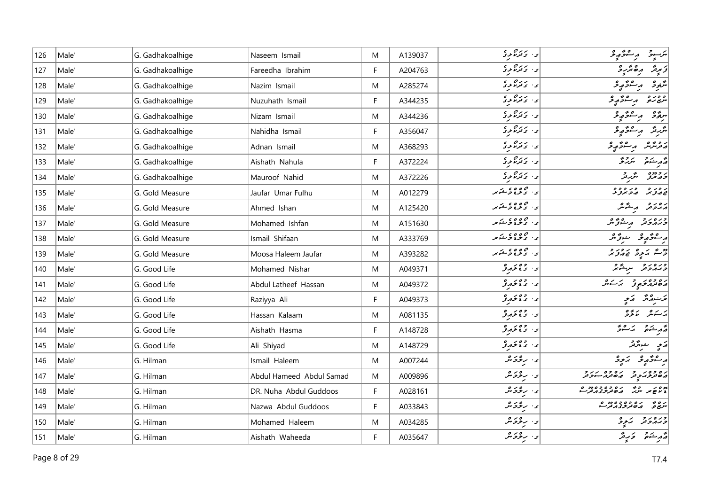| 126 | Male' | G. Gadhakoalhige | Naseem Ismail            | M  | A139037 | ر روم در<br>د کامرد در                                                                                | برڪو پرو<br>ىئەسىرد<br>كەن                                             |
|-----|-------|------------------|--------------------------|----|---------|-------------------------------------------------------------------------------------------------------|------------------------------------------------------------------------|
| 127 | Male' | G. Gadhakoalhige | Fareedha Ibrahim         | F. | A204763 | ر رد <i>ہ</i><br>ی کی تعریم عربی                                                                      | ر<br>توسي <sup>قر</sup><br>برە ئۆرۈ                                    |
| 128 | Male' | G. Gadhakoalhige | Nazim Ismail             | M  | A285274 | $\sqrt{2\frac{2}{3}}$                                                                                 | وسنتجميز<br>متزمور                                                     |
| 129 | Male' | G. Gadhakoalhige | Nuzuhath Ismail          | F  | A344235 | ر دره ده<br>د کی تومانوی                                                                              | و ور و<br>سرچ رص<br>ەرسىۋەپەتر                                         |
| 130 | Male' | G. Gadhakoalhige | Nizam Ismail             | M  | A344236 | ر رده ره<br>د کی تومانون                                                                              | وسفوحيو<br>سرچو                                                        |
| 131 | Male' | G. Gadhakoalhige | Nahidha Ismail           | F  | A356047 | ر دره دره<br>د کامرانور                                                                               | لترباند المستركاريو                                                    |
| 132 | Male' | G. Gadhakoalhige | Adnan Ismail             | M  | A368293 | - مىقرىقى<br>ئەسىمىقىرى                                                                               | ړ د شر په سر د کړه کل                                                  |
| 133 | Male' | G. Gadhakoalhige | Aishath Nahula           | F  | A372224 | $\frac{1}{2}$ $\frac{1}{2}$ $\frac{1}{2}$ $\frac{1}{2}$ $\frac{1}{2}$                                 | أوار يسكونه المتراكز                                                   |
| 134 | Male' | G. Gadhakoalhige | Mauroof Nahid            | M  | A372226 | ر رده ره<br>د کی تورگور                                                                               | ر و دوه در بور د                                                       |
| 135 | Male' | G. Gold Measure  | Jaufar Umar Fulhu        | M  | A012279 | ە دە دە ئەرىر<br>ئەسىر ئەخرى ئاسىمىز                                                                  | נ כני כניביבי<br>המציע הכיעצע                                          |
| 136 | Male' | G. Gold Measure  | Ahmed Ishan              | M  | A125420 | ە دە دە دى.<br>د گەنى كەشكىر                                                                          | أرەر دىشەر                                                             |
| 137 | Male' | G. Gold Measure  | Mohamed Ishfan           | M  | A151630 | ە دە دە ئەتكەند<br>ئەسىر ئەخرى ئاسىسى ئەت                                                             | ورەرو برخوش                                                            |
| 138 | Male' | G. Gold Measure  | Ismail Shifaan           | M  | A333769 | ە دە دە ئەر<br>ئەسىر ئەرگىيە ئەر                                                                      | بر جۇي <sub>م</sub> ۇ ھۆر                                              |
| 139 | Male' | G. Gold Measure  | Moosa Haleem Jaufar      | M  | A393282 | ە دە دە ئەرىر<br>ئەسىر ئەخرى ئاسىمىز                                                                  | وقت بروه برور و                                                        |
| 140 | Male' | G. Good Life     | Mohamed Nishar           | M  | A049371 | ى ئەقۋەرى                                                                                             | ورەرو سرغور                                                            |
| 141 | Male' | G. Good Life     | Abdul Latheef Hassan     | M  | A049372 | - ده دموړ                                                                                             | גە גە ג <sub>ە</sub> גە يە                                             |
| 142 | Male' | G. Good Life     | Raziyya Ali              | F  | A049373 | - ده دموړ                                                                                             | بمنسوه بمن أمراضي                                                      |
| 143 | Male' | G. Good Life     | Hassan Kalaam            | M  | A081135 | ى ئىقتۇم بۇ                                                                                           | ئەسەھ ئەقەۋ                                                            |
| 144 | Male' | G. Good Life     | Aishath Hasma            | F  | A148728 | ى ئىقتۇم ۋ                                                                                            | أقهر منكوح بماسكونج                                                    |
| 145 | Male' | G. Good Life     | Ali Shiyad               | M  | A148729 | ى ئىقتۇمۇ                                                                                             | أركمتمج والمحرقر                                                       |
| 146 | Male' | G. Hilman        | Ismail Haleem            | M  | A007244 | ار . رود چر<br>—-                                                                                     | ر جۇمۇھ كۆچ                                                            |
| 147 | Male' | G. Hilman        | Abdul Hameed Abdul Samad | M  | A009896 | ء رِ عِرْدَ مَّر                                                                                      | נ ס כ ס ג כ מ כ ס כ ג ג כ<br>ג ס تر ב ג ב ב ה ה מ ה מ ה ב ב ג          |
| 148 | Male' | G. Hilman        | DR. Nuha Abdul Guddoos   | F  | A028161 | $\left  \begin{array}{cc} \mathcal{L} & \mathcal{L} \\ \mathcal{L} & \mathcal{L} \end{array} \right $ | <b>צפע כל גספפפפים</b><br>זע <u>ש</u> ע י <i>נג גס</i> נק <i>צ</i> גנג |
| 149 | Male' | G. Hilman        | Nazwa Abdul Guddoos      | F. | A033843 | ء رِ عِرْدَ مَرْ                                                                                      | ره د ره دوه ده و<br>سرچ و هام مرموز مرمو                               |
| 150 | Male' | G. Hilman        | Mohamed Haleem           | M  | A034285 | <mark>ء<sub>َ</sub>، رِوْدَ</mark> نْد                                                                | ورەرو رو                                                               |
| 151 | Male' | G. Hilman        | Aishath Waheeda          | F. | A035647 | ای روزش                                                                                               | مەرشۇمى قاياقى                                                         |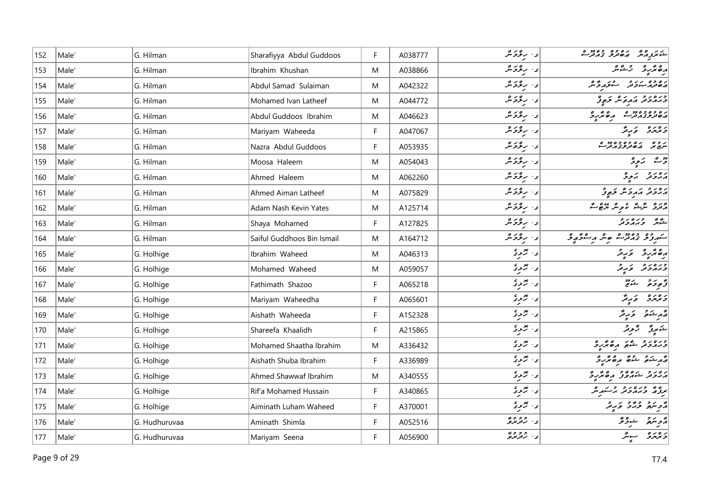| 152 | Male' | G. Hilman     | Sharafiyya Abdul Guddoos   | F         | A038777 | ء رِوْدَىْر                                                                                       | کشترو مرد مرضوح مدور م                          |
|-----|-------|---------------|----------------------------|-----------|---------|---------------------------------------------------------------------------------------------------|-------------------------------------------------|
| 153 | Male' | G. Hilman     | Ibrahim Khushan            | M         | A038866 | <sub>ی</sub> روژگر                                                                                | رە ئرىۋە ئىشكىر                                 |
| 154 | Male' | G. Hilman     | Abdul Samad Sulaiman       | ${\sf M}$ | A042322 | ء رِ عِرْدَ تَرْ                                                                                  | رە دە رىر دەردە ھېرىدى.<br>پەھەر بەدىر سىۋەرۋىس |
| 155 | Male' | G. Hilman     | Mohamed Ivan Latheef       | M         | A044772 | $\begin{array}{ c } \hline \text{SUSY} & \text{S} & \text{S} \\ \hline \end{array}$               | ورەر دېرې كەنج                                  |
| 156 | Male' | G. Hilman     | Abdul Guddoos Ibrahim      | M         | A046623 | ار روده.                                                                                          | وە ئۆرۈ<br>ر ه و ه و و وو و<br>هان تورنو پر تو  |
| 157 | Male' | G. Hilman     | Mariyam Waheeda            | F         | A047067 | <mark>ء<sub>َ</sub> رِوْدَ مَ</mark> ر                                                            | د ۱۵ د سر تر                                    |
| 158 | Male' | G. Hilman     | Nazra Abdul Guddoos        | F         | A053935 | ای روژن <i>گ</i> ر<br>ڪ                                                                           | ر و په دره وه وه وه<br>سرچ پر په هنرموتو مرتز ک |
| 159 | Male' | G. Hilman     | Moosa Haleem               | ${\sf M}$ | A054043 | ى رودىر                                                                                           | ارسم بر بر دی <sub>م</sub>                      |
| 160 | Male' | G. Hilman     | Ahmed Haleem               | M         | A062260 | ء رود کر                                                                                          | رەر ئەدە                                        |
| 161 | Male' | G. Hilman     | Ahmed Aiman Latheef        | ${\sf M}$ | A075829 | ئ رودنگر                                                                                          | أرودو أأروش تواوي                               |
| 162 | Male' | G. Hilman     | Adam Nash Kevin Yates      | M         | A125714 | ئ روديو                                                                                           | أدره الراث الأمريق الرقاعات                     |
| 163 | Male' | G. Hilman     | Shaya Mohamed              | F         | A127825 |                                                                                                   | أحشره وره رو                                    |
| 164 | Male' | G. Hilman     | Saiful Guddhoos Bin Ismail | M         | A164712 | ای روژنگر                                                                                         | سكروه وه ده ده مشركة من المستوكد و د            |
| 165 | Male' | G. Holhige    | Ibrahim Waheed             | ${\sf M}$ | A046313 | ء ، محروري<br>ا                                                                                   | أرە ئۆر ئەر ئەر                                 |
| 166 | Male' | G. Holhige    | Mohamed Waheed             | ${\sf M}$ | A059057 | ی بھی تھی<br>میں مسمر                                                                             | وره دو در د                                     |
| 167 | Male' | G. Holhige    | Fathimath Shazoo           | F         | A065218 | ى بە مىتىمى تى<br>م                                                                               | توجوجو سنوج                                     |
| 168 | Male' | G. Holhige    | Mariyam Waheedha           | F         | A065601 | ى - مىچەرى<br>ى                                                                                   | دەرە كەبىر                                      |
| 169 | Male' | G. Holhige    | Aishath Waheeda            | F         | A152328 | ء ، متزنونچ<br>ا                                                                                  | أوار فسنوه أواد والمحمد                         |
| 170 | Male' | G. Holhige    | Shareefa Khaalidh          | F         | A215865 | ی بھی تھی<br>م                                                                                    | شهرِرٌ رَّحِومُ                                 |
| 171 | Male' | G. Holhige    | Mohamed Shaatha Ibrahim    | M         | A336432 | ۍ مختړنگی<br>مختلف                                                                                | ورەر د مشيخ مەھەرد                              |
| 172 | Male' | G. Holhige    | Aishath Shuba Ibrahim      | F         | A336989 | ء سمجوري<br>مستشرع                                                                                |                                                 |
| 173 | Male' | G. Holhige    | Ahmed Shawwaf Ibrahim      | ${\sf M}$ | A340555 | <br>  ی. مخوی                                                                                     | ره رو ده دو ده و در ۵<br>دردون شوروز ده تررد    |
| 174 | Male' | G. Holhige    | Rif'a Mohamed Hussain      | F         | A340865 | $\left  \begin{array}{cc} \mathbf{x} & \mathbf{y} \\ \mathbf{y} & \mathbf{y} \end{array} \right $ | بروه ورەرو وركر                                 |
| 175 | Male' | G. Holhige    | Aiminath Luham Waheed      | F         | A370001 | <sub>ی</sub> ، مجنوبچ                                                                             | أأدوسه وبرد ورد                                 |
| 176 | Male' | G. Hudhuruvaa | Aminath Shimla             | F         | A052516 | و و و و په<br>ی - کرمربوگ                                                                         | أأوبتهم خرفر                                    |
| 177 | Male' | G. Hudhuruvaa | Mariyam Seena              | F         | A056900 | و و و و په<br>ی - کرمر <i>بو</i> ن                                                                | دەرە سېنگە                                      |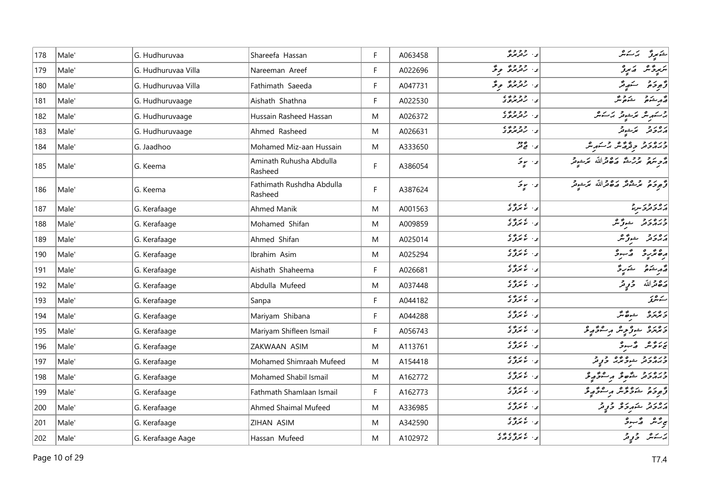| 178 | Male' | G. Hudhuruvaa       | Shareefa Hassan                      | F.        | A063458 | و د وده<br>د گله مرکزه              | ىشەردۇ بەس <i>ە</i> ش                                                                                |
|-----|-------|---------------------|--------------------------------------|-----------|---------|-------------------------------------|------------------------------------------------------------------------------------------------------|
| 179 | Male' | G. Hudhuruvaa Villa | Nareeman Areef                       | F.        | A022696 | ، رودوه وتر                         | ترىردىش كەيرى                                                                                        |
| 180 | Male' | G. Hudhuruvaa Villa | Fathimath Saeeda                     | F         | A047731 | ء - روديو وق                        | وُمِرَدُّ سَهِدًّ                                                                                    |
| 181 | Male' | G. Hudhuruvaage     | Aishath Shathna                      | F         | A022530 | و و و و »<br>و ۰ کتر <i>مرد و</i> ک | دگر شو شو شو ش                                                                                       |
| 182 | Male' | G. Hudhuruvaage     | Hussain Rasheed Hassan               | M         | A026372 | و و و ده و<br>د ۱ مرتوبورو د        | چە سەمەسى ئەسەمى ئەسەسى                                                                              |
| 183 | Male' | G. Hudhuruvaage     | Ahmed Rasheed                        | M         | A026631 | و و و ده و<br>د ۱ مرتوبو و          | رەر ئەستىرىمى<br>مەرى ئىشىرىمى                                                                       |
| 184 | Male' | G. Jaadhoo          | Mohamed Miz-aan Hussain              | Μ         | A333650 | د کار د کر                          | ورەر دەھ دەھ جام ئىر                                                                                 |
| 185 | Male' | G. Keema            | Aminath Ruhusha Abdulla<br>Rasheed   | F         | A386054 | ئ سوځ                               | أثر برو وواد الله الله الله الله عن المحمد الله عن الله عن الله عن الله عن الله عن الله عن الله عن ا |
| 186 | Male' | G. Keema            | Fathimath Rushdha Abdulla<br>Rasheed | F         | A387624 | ی- سوځه                             | وتجاوحهم من مشوقر من من الله من مشوقر                                                                |
| 187 | Male' | G. Kerafaage        | <b>Ahmed Manik</b>                   | ${\sf M}$ | A001563 | ا د ۱۰ مرکزی<br>او انتخابی          | ره ر و ر<br>  د بر د ترد سربا                                                                        |
| 188 | Male' | G. Kerafaage        | Mohamed Shifan                       | M         | A009859 | <br>  د ۱ ما موتو د                 | ورەرد <sub>شو</sub> ژىر<br><i>دىنەدەر</i> ش <sub>و</sub> ژىر                                         |
| 189 | Male' | G. Kerafaage        | Ahmed Shifan                         | M         | A025014 | ا د ۱۰ مرکزی<br>او انتخابی          | رەرو شۆرگە                                                                                           |
| 190 | Male' | G. Kerafaage        | Ibrahim Asim                         | M         | A025294 | ، ، ، ، ، ، ، ،<br>، ، ، ، ، ، ، ،  | $rac{1}{2}$                                                                                          |
| 191 | Male' | G. Kerafaage        | Aishath Shaheema                     | F         | A026681 | ۍ له مرکزي<br>ي                     | وكرمشكم الشرائح                                                                                      |
| 192 | Male' | G. Kerafaage        | Abdulla Mufeed                       | Μ         | A037448 | ۍ د کامونو ته کا                    | ەھىراللە<br>تر تو تر                                                                                 |
| 193 | Male' | G. Kerafaage        | Sanpa                                | F.        | A044182 | ے رہے۔<br>یہ ماسمبرتی <sub>ک</sub>  | سەيىر                                                                                                |
| 194 | Male' | G. Kerafaage        | Mariyam Shibana                      | F.        | A044288 | ، در ۱۶ تاریخ<br>ای انتخابی تاریخ   | ره ره شوځ ش                                                                                          |
| 195 | Male' | G. Kerafaage        | Mariyam Shifleen Ismail              | F         | A056743 | <br>  د ۱ ما موتو د                 |                                                                                                      |
| 196 | Male' | G. Kerafaage        | ZAKWAAN ASIM                         | M         | A113761 | ، ، ، ، ، ، ، ،<br>، ، ، ، ، ، ، ،  | $3 - 2 - 2$                                                                                          |
| 197 | Male' | G. Kerafaage        | Mohamed Shimraah Mufeed              | M         | A154418 | <sub>ی</sub> عمروی                  | ورەرو مەدەر توپ                                                                                      |
| 198 | Male' | G. Kerafaage        | Mohamed Shabil Ismail                | M         | A162772 | د ، ع ټرونه                         | ورەرو شەھ رەشۇر                                                                                      |
| 199 | Male' | G. Kerafaage        | Fathmath Shamlaan Ismail             | F.        | A162773 | د ، غ ټرنو د                        | ژودۇ خەرۋىر رەۋرو                                                                                    |
| 200 | Male' | G. Kerafaage        | Ahmed Shaimal Mufeed                 | M         | A336985 | د ۱۰ مرکز د                         | גמכת בתכל כן ת                                                                                       |
| 201 | Male' | G. Kerafaage        | ZIHAN ASIM                           | ${\sf M}$ | A342590 | <sub>ی</sub> عربوی                  | ىج ئىر گە يىر ئ                                                                                      |
| 202 | Male' | G. Kerafaage Aage   | Hassan Mufeed                        | Μ         | A102972 | ې د پرې پرې<br>د ۱ ماندنۍ د د ک     | پرسەنئە ئەربەتە                                                                                      |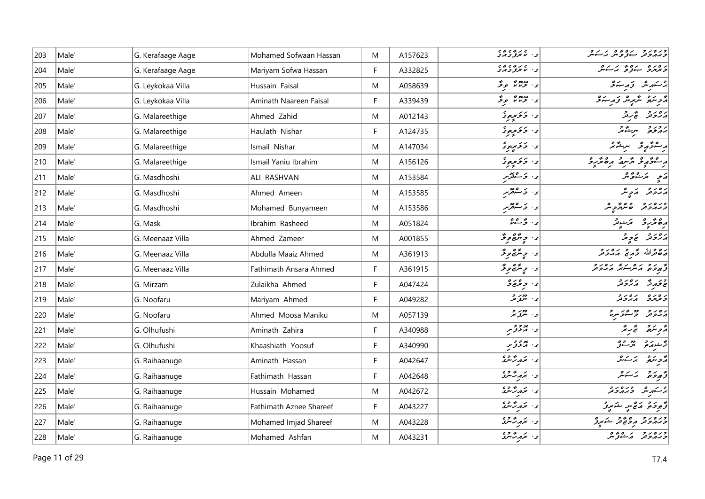| 203 | Male' | G. Kerafaage Aage | Mohamed Sofwaan Hassan  | M  | A157623 | $\begin{array}{ll} c\,\,\phi\,\,c\,\,\phi\,\, \gamma\,\,c\,\,\phi\,\,c\,\,\phi\,\,c\,\,\phi\,\,c\,\,\phi\,\,c\,\,\phi\,\,c\,\,\phi\,\,c\,\,\phi\,\,c\,\,\phi\,\,c\,\,\phi\,\,c\,\,\phi\,\,c\,\,\phi\,\,c\,\,\phi\,\,c\,\,\phi\,\,c\,\,\phi\,\,c\,\,\phi\,\,c\,\,\phi\,\,c\,\,\phi\,\,c\,\,\phi\,\,c\,\,\phi\,\,c\,\,\phi\,\,c\,\,\phi\,\,c\,\,\phi\,\,c\,\,\phi\,\,c\,\,\phi\,\,$ | ورەرو بەھ بەيدە                      |
|-----|-------|-------------------|-------------------------|----|---------|-----------------------------------------------------------------------------------------------------------------------------------------------------------------------------------------------------------------------------------------------------------------------------------------------------------------------------------------------------------------------------------|--------------------------------------|
| 204 | Male' | G. Kerafaage Aage | Mariyam Sofwa Hassan    | F  | A332825 | ی . عربری بر ی<br>ی . ما بیرتی تر آبری                                                                                                                                                                                                                                                                                                                                            | رەرە بەدە بەيد                       |
| 205 | Male' | G. Leykokaa Villa | Hussain Faisal          | M  | A058639 | ى بىيىم مۇ                                                                                                                                                                                                                                                                                                                                                                        | وحسكمرش تورجنى                       |
| 206 | Male' | G. Leykokaa Villa | Aminath Naareen Faisal  | F  | A339439 | ، پېړه وگ                                                                                                                                                                                                                                                                                                                                                                         | أدويتم بترييته وربيكم                |
| 207 | Male' | G. Malareethige   | Ahmed Zahid             | M  | A012143 | ى ئەقەمبەرى                                                                                                                                                                                                                                                                                                                                                                       | دەر د پچ رىتر                        |
| 208 | Male' | G. Malareethige   | Haulath Nishar          | F  | A124735 | ى ئەقەمبەرى<br>ئ                                                                                                                                                                                                                                                                                                                                                                  | رورو سرشور                           |
| 209 | Male' | G. Malareethige   | Ismail Nishar           | M  | A147034 | ى ئەقەمبەرى                                                                                                                                                                                                                                                                                                                                                                       | رام محمد عليم عليم من المستوجد       |
| 210 | Male' | G. Malareethige   | Ismail Yaniu Ibrahim    | M  | A156126 | ى ئەقەمبەرى                                                                                                                                                                                                                                                                                                                                                                       | وبحقوظ اللبرا وكالمربو               |
| 211 | Male' | G. Masdhoshi      | ALI RASHVAN             | M  | A153584 | ء - ئەشقرىر                                                                                                                                                                                                                                                                                                                                                                       | أرشع المرتفق مر                      |
| 212 | Male' | G. Masdhoshi      | Ahmed Ameen             | M  | A153585 | ى ئەسكەتتىرىد                                                                                                                                                                                                                                                                                                                                                                     | أرەر ئەربىر                          |
| 213 | Male' | G. Masdhoshi      | Mohamed Bunyameen       | M  | A153586 | ى كەسكەتتىرىد                                                                                                                                                                                                                                                                                                                                                                     | ورەرو وەھرە                          |
| 214 | Male' | G. Mask           | Ibrahim Rasheed         | M  | A051824 | ى ئۇسىرە                                                                                                                                                                                                                                                                                                                                                                          | رە ئرىر ئىسىر                        |
| 215 | Male' | G. Meenaaz Villa  | Ahmed Zameer            | M  | A001855 | ى - جٍ مَّرْجٌ و ِ قَرْ                                                                                                                                                                                                                                                                                                                                                           | دەر دې سرچ                           |
| 216 | Male' | G. Meenaaz Villa  | Abdulla Maaiz Ahmed     | M  | A361913 | ى - جٍ مَّرْجُ و مََّ                                                                                                                                                                                                                                                                                                                                                             | رە داللە دۇرى مەدد                   |
| 217 | Male' | G. Meenaaz Villa  | Fathimath Ansara Ahmed  | F  | A361915 | ى - جٍ مَّرْجُ و مََّ                                                                                                                                                                                                                                                                                                                                                             | و د د ره ره ده د د                   |
| 218 | Male' | G. Mirzam         | Zulaikha Ahmed          | F  | A047424 | ى ئەر ئەنجامى                                                                                                                                                                                                                                                                                                                                                                     | پر قرم قر مرد د                      |
| 219 | Male' | G. Noofaru        | Mariyam Ahmed           | F. | A049282 | ى سىمكەنتى                                                                                                                                                                                                                                                                                                                                                                        | נים נים נים ניביק.<br>המינקים וממכינ |
| 220 | Male' | G. Noofaru        | Ahmed Moosa Maniku      | M  | A057139 | ى سىمكەنتى                                                                                                                                                                                                                                                                                                                                                                        | נים כדי מיני הק<br>הגבת ביילבית מ    |
| 221 | Male' | G. Olhufushi      | Aminath Zahira          | F  | A340988 | ى بە ئەترىق بىر                                                                                                                                                                                                                                                                                                                                                                   | ومحر يتمريحه                         |
| 222 | Male' | G. Olhufushi      | Khaashiath Yoosuf       | F  | A340990 | ى بە ئەترىق بىر                                                                                                                                                                                                                                                                                                                                                                   | رمي په در دو                         |
| 223 | Male' | G. Raihaanuge     | Aminath Hassan          | F  | A042647 | ى ئىمەر شىرى                                                                                                                                                                                                                                                                                                                                                                      | ۇ جەمئە ئەسكەنلەر                    |
| 224 | Male' | G. Raihaanuge     | Fathimath Hassan        | F  | A042648 | ى ئىمەر شىرى                                                                                                                                                                                                                                                                                                                                                                      | ق بيرة برسكس                         |
| 225 | Male' | G. Raihaanuge     | Hussain Mohamed         | M  | A042672 | ى ئىمەر شىرى                                                                                                                                                                                                                                                                                                                                                                      | بر شهر شده در در د                   |
| 226 | Male' | G. Raihaanuge     | Fathimath Aznee Shareef | F  | A043227 | ى سىمەر شىرى                                                                                                                                                                                                                                                                                                                                                                      |                                      |
| 227 | Male' | G. Raihaanuge     | Mohamed Imjad Shareef   | M  | A043228 | <sub>ى:</sub> ئىرىر ئىتىدى                                                                                                                                                                                                                                                                                                                                                        | ورەرو مەدە ھەر                       |
| 228 | Male' | G. Raihaanuge     | Mohamed Ashfan          | M  | A043231 | <sub>ى</sub> بىر ئەرمى                                                                                                                                                                                                                                                                                                                                                            | ورەرو پروومۇ                         |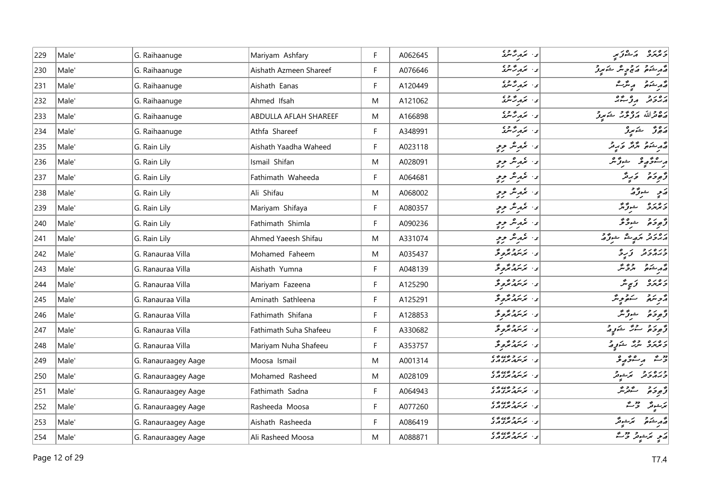| 229 | Male' | G. Raihaanuge       | Mariyam Ashfary        | F           | A062645 | ى سىمەر شىرى                             | و دره د کشوکر پر                        |
|-----|-------|---------------------|------------------------|-------------|---------|------------------------------------------|-----------------------------------------|
| 230 | Male' | G. Raihaanuge       | Aishath Azmeen Shareef | F           | A076646 |                                          | و المراد و د چار به ان میکندانی و ا     |
| 231 | Male' | G. Raihaanuge       | Aishath Eanas          | F           | A120449 | ى ئىمەر شىرى                             | ۇرمىنى رېترگ                            |
| 232 | Male' | G. Raihaanuge       | Ahmed Ifsah            | M           | A121062 | ى بە ئەرگەرى                             | رەرو مۇسۇر                              |
| 233 | Male' | G. Raihaanuge       | ABDULLA AFLAH SHAREEF  | M           | A166898 | ى ئىمەر شىرى                             | برە داللە بروژبر خىمرو                  |
| 234 | Male' | G. Raihaanuge       | Athfa Shareef          | F           | A348991 | ى سىمەر شىرى                             | رەم ئىسىرى<br>مەمۇس ئىسىرى              |
| 235 | Male' | G. Rain Lily        | Aishath Yaadha Waheed  | F           | A023118 | ی گرمرنگر مومو                           | مەر شىم ئىگرىم كەيدىگ                   |
| 236 | Male' | G. Rain Lily        | Ismail Shifan          | M           | A028091 | ی گرمرنگر مومو                           | بر شۇن ئى شوۋىتر                        |
| 237 | Male' | G. Rain Lily        | Fathimath Waheeda      | F.          | A064681 | ی گرمرنگر مومو                           | وً و د و سر آمد                         |
| 238 | Male' | G. Rain Lily        | Ali Shifau             | M           | A068002 | ی گرمرنگر مومو                           | ړې شوره.<br>مړ                          |
| 239 | Male' | G. Rain Lily        | Mariyam Shifaya        | E           | A080357 | ی گرمرنگر مومو                           | ر ه ر ه<br><del>د</del> بربرگر<br>شەۋگر |
| 240 | Male' | G. Rain Lily        | Fathimath Shimla       | F           | A090236 | ی گرمرنگر مومو                           | ژوده جود                                |
| 241 | Male' | G. Rain Lily        | Ahmed Yaeesh Shifau    | M           | A331074 | ی گرمرنگر مومو                           | גפנד תגב בתוכר                          |
| 242 | Male' | G. Ranauraa Villa   | Mohamed Faheem         | M           | A035437 | .<br>ئ <sup>ە</sup> ئىرىنگەنگرەنگە       | ورەرو كەرۋ                              |
| 243 | Male' | G. Ranauraa Villa   | Aishath Yumna          | F           | A048139 | ى سىر تىرىم تىرىمى ئى                    | أصمر شوه المروش                         |
| 244 | Male' | G. Ranauraa Villa   | Mariyam Fazeena        | F           | A125290 | ، ئەئىر ئىگرىمى ئى                       | رەرە زىپ                                |
| 245 | Male' | G. Ranauraa Villa   | Aminath Sathleena      | $\mathsf F$ | A125291 | ى ئىرسىمىدىنگە بەر                       | سەھ بويىگە<br>أرمز                      |
| 246 | Male' | G. Ranauraa Villa   | Fathimath Shifana      | E           | A128853 | <br> د· ئۈشكەنگرەق                       | وَّجوحَ حَ<br>ے وگر مگر                 |
| 247 | Male' | G. Ranauraa Villa   | Fathimath Suha Shafeeu | F           | A330682 | ى بەر دەم ئۇي ئ                          | وٌمودَهِ رَيْرٌ ڪَوِرُ                  |
| 248 | Male' | G. Ranauraa Villa   | Mariyam Nuha Shafeeu   | $\mathsf F$ | A353757 | ى سىر سىر ترە ئى                         | رەرە دە ئىركى                           |
| 249 | Male' | G. Ranauraagey Aage | Moosa Ismail           | M           | A001314 | e s us s v v<br>s n s x n v x · s        | وت په مؤړی                              |
| 250 | Male' | G. Ranauraagey Aage | Mohamed Rasheed        | M           | A028109 | e s ces s v v v - s<br>s n s x n v x - s | ورەرو بەيدۇ.                            |
| 251 | Male' | G. Ranauraagey Aage | Fathimath Sadna        | F           | A064943 | e n cen s v v v v s<br>s n s x n x x v s | أوجر ومحتفظ المعتبر                     |
| 252 | Male' | G. Ranauraagey Aage | Rasheeda Moosa         | F           | A077260 | e 4 ce 4 7 1 1 1<br>5 11 5 5 1 7 1 7 1 5 | ىرىدىر ئۇڭ                              |
| 253 | Male' | G. Ranauraagey Aage | Aishath Rasheeda       | F           | A086419 | e 4 ce4 7 1 1<br>5 1 5 5 4 1 7 1 3       | لأمر شكافها المركب وكر                  |
| 254 | Male' | G. Ranauraagey Aage | Ali Rasheed Moosa      | M           | A088871 | e s ces s v v v - s<br>s n s x n v x - s | ړې پرېنونز والگ                         |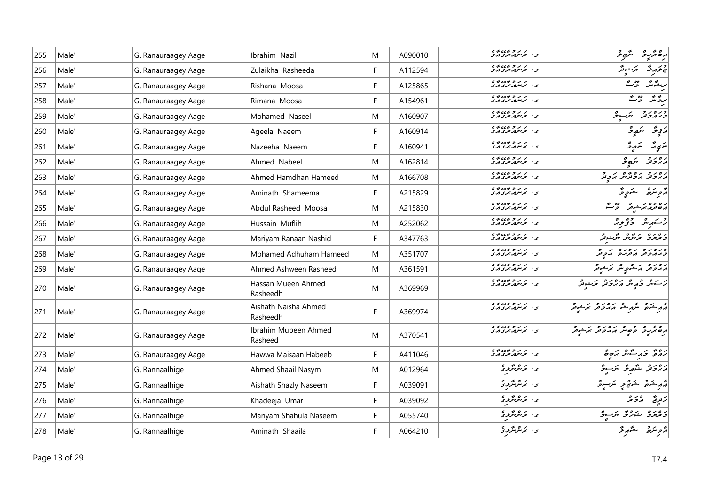| 255 | Male' | G. Ranauraagey Aage | Ibrahim Nazil                    | M  | A090010 | e n cen s v v v v s<br>s n s x n x x v s                                                 | ەر ھەتتەر 2<br>ر<br>ىترىپە بۇ                                                                        |
|-----|-------|---------------------|----------------------------------|----|---------|------------------------------------------------------------------------------------------|------------------------------------------------------------------------------------------------------|
| 256 | Male' | G. Ranauraagey Aage | Zulaikha Rasheeda                | E  | A112594 | e 4 ce4 7 1 1<br>5 1 5 5 4 1 7 1 3                                                       | ة ئەرگە<br>ئاخرىر                                                                                    |
| 257 | Male' | G. Ranauraagey Aage | Rishana Moosa                    | F  | A125865 | e n cen s v v v v s<br>s n s x n x x v s                                                 | بريئة مثر<br>دو مئر                                                                                  |
| 258 | Male' | G. Ranauraagey Aage | Rimana Moosa                     | F  | A154961 | e 4 ce4 7 1 1<br>5 1 5 5 4 1 7 1 3                                                       | برڈ شر جو ش                                                                                          |
| 259 | Male' | G. Ranauraagey Aage | Mohamed Naseel                   | M  | A160907 | e 4 ce4 7 1 1<br>5 1 5 5 4 1 7 1 3                                                       | و ر ه ر و<br>و پر پر و تر<br>ىئرىبىدى                                                                |
| 260 | Male' | G. Ranauraagey Aage | Ageela Naeem                     | F  | A160914 | e 4 ce 4 7 7 7 7 8<br>5 A 5 J A 3 4 8 8                                                  | ەتىمىچە<br>سمەر                                                                                      |
| 261 | Male' | G. Ranauraagey Aage | Nazeeha Naeem                    | F  | A160941 | e sus suuris<br>sa suunud s                                                              | سَرىپە<br>سَمِيرة                                                                                    |
| 262 | Male' | G. Ranauraagey Aage | Ahmed Nabeel                     | M  | A162814 | e s us s v v<br>s n s x n v x · s                                                        | رەر ئەھ                                                                                              |
| 263 | Male' | G. Ranauraagey Aage | Ahmed Hamdhan Hameed             | M  | A166708 | e n cen s v v v v s<br>s n s x n x x v s                                                 | رەر د رەپە ھەر بە                                                                                    |
| 264 | Male' | G. Ranauraagey Aage | Aminath Shameema                 | F  | A215829 | e s ces s v v v - s<br>s n s x n v x - s                                                 | مُرْحِسَمُ شَرَحَ                                                                                    |
| 265 | Male' | G. Ranauraagey Aage | Abdul Rasheed Moosa              | M  | A215830 | e 4 ce4 3 1 1<br>5 1 3 5 4 N + 3                                                         | ן 2010 משפע כל בי                                                                                    |
| 266 | Male' | G. Ranauraagey Aage | Hussain Muflih                   | M  | A252062 | e 4 ce4 3 1 1<br>5 1 3 5 4 N + 3                                                         | يرسكهاش وووي                                                                                         |
| 267 | Male' | G. Ranauraagey Aage | Mariyam Ranaan Nashid            | F. | A347763 | e n cen s v v v v s<br>s n s x n v x v s                                                 | رەرە برەھ شرىرى                                                                                      |
| 268 | Male' | G. Ranauraagey Aage | Mohamed Adhuham Hameed           | M  | A351707 | e 4 ce4 7 1 1<br>5 1 5 5 4 7 7 7 8 8                                                     | ورەر د رورە برېږ                                                                                     |
| 269 | Male' | G. Ranauraagey Aage | Ahmed Ashween Rasheed            | M  | A361591 | e 4 ce4 7 1 1<br>5 1 3 5 4 N + 1 3                                                       | رەر تەركىسى ئەسر                                                                                     |
| 270 | Male' | G. Ranauraagey Aage | Hassan Mueen Ahmed<br>Rasheedh   | M  | A369969 | ر ر د پره پره<br>برسمه برن د پ<br>ى ٠                                                    | ג׳ לי בן יש גם גב תיייבת                                                                             |
| 271 | Male' | G. Ranauraagey Aage | Aishath Naisha Ahmed<br>Rasheedh | F  | A369974 | $\begin{array}{c} \mathcal{L} \neq \mathcal{L} \mathcal{L} \neq \mathcal{I} \end{array}$ | ح م شكرة الحمير مشكر 2012 مركب من المركب المركب المركب المركب المركب المركب المركب المركب المركب الم |
| 272 | Male' | G. Ranauraagey Aage | Ibrahim Mubeen Ahmed<br>Rasheed  | M  | A370541 | e 4 ce4 7 1 1<br>5 1 5 5 4 1 7 1 3                                                       | مصرير وحمد مدوم بمشور                                                                                |
| 273 | Male' | G. Ranauraagey Aage | Hawwa Maisaan Habeeb             | F  | A411046 | e 4 ce4 7 1 1<br>5 1 5 5 4 7 7 7 8 8                                                     | رەپ زېرىشىر زەھ                                                                                      |
| 274 | Male' | G. Rannaalhige      | Ahmed Shaail Nasym               | M  | A012964 | ى سىمە ئىرىگىرى                                                                          | رەرد ش <sub>ەر</sub> و ترىپە                                                                         |
| 275 | Male' | G. Rannaalhige      | Aishath Shazly Naseem            | F  | A039091 | ى - ئۈشۈشۈرى                                                                             | أأرشكم الشكامي الكرسوم                                                                               |
| 276 | Male' | G. Rannaalhige      | Khadeeja Umar                    | F. | A039092 | ى - ئىرىش ئىرى ئى                                                                        | زَمِرِيحُ دَرَ وَ                                                                                    |
| 277 | Male' | G. Rannaalhige      | Mariyam Shahula Naseem           | F  | A055740 | ى - ئۈشۈشۈرى                                                                             | رەرە شەرقە ئەسوۋ                                                                                     |
| 278 | Male' | G. Rannaalhige      | Aminath Shaaila                  | F  | A064210 | ى - ئىرىش ئىرى ئى                                                                        | ړُوسکه شَهر کُمُ                                                                                     |
|     |       |                     |                                  |    |         |                                                                                          |                                                                                                      |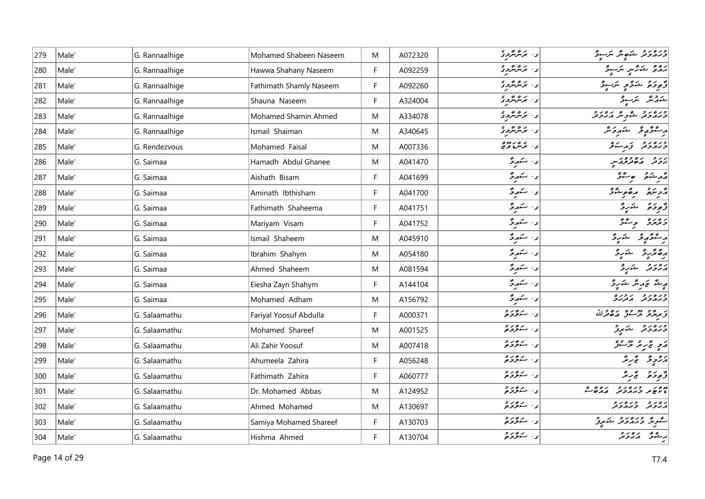| 279 | Male' | G. Rannaalhige | Mohamed Shabeen Naseem  | M  | A072320 | <sub>ى</sub> بە ئەشرىتىرى <sub>م</sub> ى | ورەرو خەھ ئەس ئىسو                                   |
|-----|-------|----------------|-------------------------|----|---------|------------------------------------------|------------------------------------------------------|
| 280 | Male' | G. Rannaalhige | Hawwa Shahany Naseem    | F. | A092259 | ى - ئۈشۈشۈرى                             |                                                      |
| 281 | Male' | G. Rannaalhige | Fathimath Shamly Naseem | F. | A092260 | <br>  <sub>ی</sub> برگرمرمر <sub>ک</sub> | وحافظ والملحا والمستوفر                              |
| 282 | Male' | G. Rannaalhige | Shauna Naseem           | F  | A324004 | ى سىمەھەرىمى ئ                           | شكەر ئىگە ئىكرىسور                                   |
| 283 | Male' | G. Rannaalhige | Mohamed Shamin Ahmed    | M  | A334078 | ى سىر ئىر ئىر ئى                         | وره رو در محمد مدرود<br>وبردونر څورش دبرونر          |
| 284 | Male' | G. Rannaalhige | Ismail Shaiman          | M  | A340645 | ى - ئۆشرىترىدى                           | برحوم ومخبر والمستقر                                 |
| 285 | Male' | G. Rendezvous  | Mohamed Faisal          | M  | A007336 | ے صر دوہ<br>ی- موسی <sub>ق</sub> و م     | ورەرو تەرىبو                                         |
| 286 | Male' | G. Saimaa      | Hamadh Abdul Ghanee     | M  | A041470 | ى سىمبرۇ                                 | ر ر د د د د و د کرد.<br>پروتر د ه ه ترڅوړ س          |
| 287 | Male' | G. Saimaa      | Aishath Bisam           | F  | A041699 | ى سىمەرىچ                                | أمار شدة والشرقر                                     |
| 288 | Male' | G. Saimaa      | Aminath Ibthisham       | F  | A041700 | ى سىمەتى                                 | أزجر المتمر والمستور                                 |
| 289 | Male' | G. Saimaa      | Fathimath Shaheema      | F  | A041751 | ى سىمەتى                                 | ے کر وگ<br>ۇ بوخ <sup>ى</sup> م                      |
| 290 | Male' | G. Saimaa      | Mariyam Visam           | F  | A041752 | ى سىمەتى                                 | رەرە بەشۇ                                            |
| 291 | Male' | G. Saimaa      | Ismail Shaheem          | M  | A045910 | ى سىمەرىچ                                | بر شۇنپە ئۇ سۇر ئ                                    |
| 292 | Male' | G. Saimaa      | Ibrahim Shahym          | M  | A054180 | ى سىمەتى                                 | رەپرىر خىرو                                          |
| 293 | Male' | G. Saimaa      | Ahmed Shaheem           | M  | A081594 | ى سىمەق                                  | برەرو ئىرو                                           |
| 294 | Male' | G. Saimaa      | Eiesha Zayn Shahym      | F  | A144104 | ى سىمەرىخ                                | ر شه نم بر شر د                                      |
| 295 | Male' | G. Saimaa      | Mohamed Adham           | M  | A156792 | ى سىمەرىچ                                | כנסנכ גבנס<br><i>בג</i> ו <i>ב</i> כנ הבנ <i>ב</i> כ |
| 296 | Male' | G. Salaamathu  | Fariyal Yoosuf Abdulla  | F  | A000371 | ى سەۋەھ                                  | ر پرو دو وه بره د الله                               |
| 297 | Male' | G. Salaamathu  | Mohamed Shareef         | M  | A001525 | ى سىۋە ئە                                | ورەرو خىرۇ                                           |
| 298 | Male' | G. Salaamathu  | Ali Zahir Yoosuf        | M  | A007418 | ى سىۋە ئە                                | ړې په مريد ده ده<br>کمړنې د سر                       |
| 299 | Male' | G. Salaamathu  | Ahumeela Zahira         | F  | A056248 | ى سەۋرە                                  | أروا ويحج والمجر بالمراج                             |
| 300 | Male' | G. Salaamathu  | Fathimath Zahira        | F  | A060777 | ى سەۋەمى                                 | توجوخر تجربته                                        |
| 301 | Male' | G. Salaamathu  | Dr. Mohamed Abbas       | M  | A124952 | ى سەۋەپى                                 | 2522<br>2007 - 2007<br>24 שמי המיקט                  |
| 302 | Male' | G. Salaamathu  | Ahmed Mohamed           | M  | A130697 | ى سىۋە ئە                                | ג סגב בג סגב<br>גגבע בגגבע                           |
| 303 | Male' | G. Salaamathu  | Samiya Mohamed Shareef  | F. | A130703 | ى سەۋرە                                  | كرواز وبرودو كروز                                    |
| 304 | Male' | G. Salaamathu  | Hishma Ahmed            | F  | A130704 | ى سىۋىرە                                 | برشوش برەر د                                         |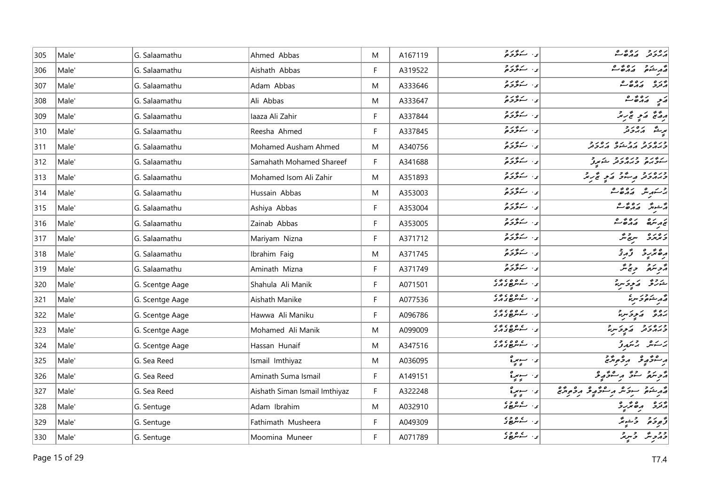| 305 | Male' | G. Salaamathu   | Ahmed Abbas                   | M           | A167119 | ى سىۋە ئە                                     | رەرو رەپرە                                           |
|-----|-------|-----------------|-------------------------------|-------------|---------|-----------------------------------------------|------------------------------------------------------|
| 306 | Male' | G. Salaamathu   | Aishath Abbas                 | F           | A319522 | ى سىۋىرە                                      | 0.401<br>پ <sup>ر</sup> در شوځ                       |
| 307 | Male' | G. Salaamathu   | Adam Abbas                    | M           | A333646 | ى سەنۇۋەتى                                    | ء ر ہ<br>دگرو<br>رەپچە                               |
| 308 | Male' | G. Salaamathu   | Ali Abbas                     | M           | A333647 | ى سىۋىرە                                      | 2501                                                 |
| 309 | Male' | G. Salaamathu   | laaza Ali Zahir               | F           | A337844 | ى سەنۇۋە                                      | وړځ کې ځریز                                          |
| 310 | Male' | G. Salaamathu   | Reesha Ahmed                  | F           | A337845 | ى سىۋە ئە                                     | ەر دىر<br>امریقہ                                     |
| 311 | Male' | G. Salaamathu   | Mohamed Ausham Ahmed          | M           | A340756 | ى سەۋرە                                       | ورەر د در دره رەر د<br><i>دېدم</i> ونر مەمشور مەرونر |
| 312 | Male' | G. Salaamathu   | Samahath Mohamed Shareef      | $\mathsf F$ | A341688 | ى سەۋەھ                                       | رورو ورەرو شەيرو                                     |
| 313 | Male' | G. Salaamathu   | Mohamed Isom Ali Zahir        | M           | A351893 | ى سەۋەپى                                      | ورەرو ھەب ە كەنچ ئەرلە                               |
| 314 | Male' | G. Salaamathu   | Hussain Abbas                 | M           | A353003 | ى سەۋەپى                                      |                                                      |
| 315 | Male' | G. Salaamathu   | Ashiya Abbas                  | F           | A353004 | ى سىۋىرە                                      | 2501<br>ر گر شد وگر                                  |
| 316 | Male' | G. Salaamathu   | Zainab Abbas                  | F           | A353005 | ى سەۋەمى                                      | رەپچە<br>ایم بر سره<br>د                             |
| 317 | Male' | G. Salaamathu   | Mariyam Nizna                 | F           | A371712 | ى سەۋەمى                                      | ر ه ر ه<br><del>د</del> بربرگر<br>سرچ مگر            |
| 318 | Male' | G. Salaamathu   | Ibrahim Faig                  | M           | A371745 | ى سەۋرە                                       | ەرھ ئ <sup>ۆ</sup> ر ۋ<br>تۇ مەتى                    |
| 319 | Male' | G. Salaamathu   | Aminath Mizna                 | F           | A371749 | ى سىۋىرە                                      | أزويتهم وبيءثر                                       |
| 320 | Male' | G. Scentge Aage | Shahula Ali Manik             | F           | A071501 | $\frac{c}{s}$                                 | أينكر والمتحفظ والمتعالج                             |
| 321 | Male' | G. Scentge Aage | Aishath Manike                | F           | A077536 | $\frac{c}{s}$                                 | ا محمد مشهور تسرین <sup>ا</sup><br>محمد مشهور تسرینا |
| 322 | Male' | G. Scentge Aage | Hawwa Ali Maniku              | F           | A096786 | $\frac{c}{s}$                                 |                                                      |
| 323 | Male' | G. Scentge Aage | Mohamed Ali Manik             | M           | A099009 | $\frac{c}{s}$                                 | כגבכת הבכיתי                                         |
| 324 | Male' | G. Scentge Aage | Hassan Hunaif                 | M           | A347516 | $\frac{c}{c}$ , $\frac{c}{c}$ , $\frac{c}{c}$ | يەسەھە يەسمەر                                        |
| 325 | Male' | G. Sea Reed     | Ismail Imthiyaz               | M           | A036095 | ای استعمالی<br>است <u>ست</u>                  | و عوَّمٍ قرار و مردِّ                                |
| 326 | Male' | G. Sea Reed     | Aminath Suma Ismail           | F           | A149151 | ی سیرتج<br>ی ی                                | ړوسره ده ره دوړو                                     |
| 327 | Male' | G. Sea Reed     | Aishath Siman Ismail Imthiyaz | F           | A322248 | ی سومرتا<br>په                                | و مشور سرد شر مشرقه و مردم در م                      |
| 328 | Male' | G. Sentuge      | Adam Ibrahim                  | M           | A032910 | ر عروج<br>د سگهوی                             | رە ئۆرۈ<br>پە تەرە                                   |
| 329 | Male' | G. Sentuge      | Fathimath Musheera            | F           | A049309 | ی. که شریع ی                                  | ۇ ب <sub>و</sub> ر د<br>ۇ ھەيگە<br>ئ                 |
| 330 | Male' | G. Sentuge      | Moomina Muneer                | F           | A071789 | ی کیمرج دی                                    | وثروبثر وتبربر                                       |
|     |       |                 |                               |             |         |                                               |                                                      |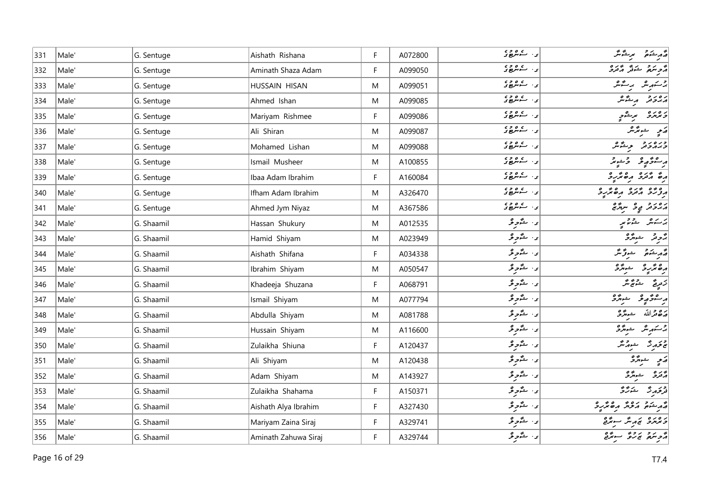| 331 | Male' | G. Sentuge | Aishath Rishana      | F         | A072800 | ی گیروی                | م شرکت برگینگر<br>م                           |
|-----|-------|------------|----------------------|-----------|---------|------------------------|-----------------------------------------------|
| 332 | Male' | G. Sentuge | Aminath Shaza Adam   | F         | A099050 | ی کے مربع ی            | أأدمرة الشرقاء والمحردة                       |
| 333 | Male' | G. Sentuge | HUSSAIN HISAN        | ${\sf M}$ | A099051 | ی گوروه                | برستهرش برستمش                                |
| 334 | Male' | G. Sentuge | Ahmed Ishan          | M         | A099085 | ی گوه وی               | رەرد مىشىر                                    |
| 335 | Male' | G. Sentuge | Mariyam Rishmee      | F         | A099086 | ی گیروی                | ر ہ ر ہ<br>تر <del>ب</del> ر بر<br>ىرىشى<br>س |
| 336 | Male' | G. Sentuge | Ali Shiran           | ${\sf M}$ | A099087 | ی گوروه                | ەكىيە سىيىتىلىكى<br>مەسىر                     |
| 337 | Male' | G. Sentuge | Mohamed Lishan       | ${\sf M}$ | A099088 | ی کیمرج ی              | ورەرو بوشەر                                   |
| 338 | Male' | G. Sentuge | Ismail Musheer       | ${\sf M}$ | A100855 | ی که هیچ ی             | ر عۇر ق ئ                                     |
| 339 | Male' | G. Sentuge | Ibaa Adam Ibrahim    | F         | A160084 | ی کیمرج ی              | أرة أزرو رەبرى                                |
| 340 | Male' | G. Sentuge | Ifham Adam Ibrahim   | ${\sf M}$ | A326470 | ر مشروع<br>د سگهري     | دورد مدد مقترره                               |
| 341 | Male' | G. Sentuge | Ahmed Jym Niyaz      | ${\sf M}$ | A367586 | ی کے موج               | ړ پر د په د سرگړي                             |
| 342 | Male' | G. Shaamil | Hassan Shukury       | ${\sf M}$ | A012535 | ى شگۈرگە               | ىر سەھرا ئىقسامىيە                            |
| 343 | Male' | G. Shaamil | Hamid Shiyam         | M         | A023949 | - متمرو<br>د متمر      | بروتر شوروه                                   |
| 344 | Male' | G. Shaamil | Aishath Shifana      | F         | A034338 | ى شەرىۋ                | ۇرىشكى ھو <i>ۋىگ</i>                          |
| 345 | Male' | G. Shaamil | Ibrahim Shiyam       | ${\sf M}$ | A050547 | ى شەرۋ                 | أرە ئۆر ئىستىر ئىشتىر ئىستىدى ئە              |
| 346 | Male' | G. Shaamil | Khadeeja Shuzana     | F         | A068791 | ر . ځونو               | ر و ديج<br>  رکوپيچ<br>شەمج ئىگر              |
| 347 | Male' | G. Shaamil | Ismail Shiyam        | ${\sf M}$ | A077794 | ى شەرىۋ                | أراع وحمي والمحمد والمحمد                     |
| 348 | Male' | G. Shaamil | Abdulla Shiyam       | ${\sf M}$ | A081788 | ء ستمرو                | مُصْعَرِ اللَّهُ ۖ سُومَّرْحَ                 |
| 349 | Male' | G. Shaamil | Hussain Shiyam       | ${\sf M}$ | A116600 | اء ڪوؤ                 | جر س <sub>ک</sub> ر میں<br>م<br>شەدگرى        |
| 350 | Male' | G. Shaamil | Zulaikha Shiuna      | F         | A120437 | ى شەرۋ                 | ە ئەرەبە ئىسىدىگە<br>ئ                        |
| 351 | Male' | G. Shaamil | Ali Shiyam           | ${\sf M}$ | A120438 | ى شگۈرگە               | أوسمج المشورة والمحمد                         |
| 352 | Male' | G. Shaamil | Adam Shiyam          | ${\sf M}$ | A143927 | ى شەرۋ                 | پر ہ<br>دنرو<br>شەپرى                         |
| 353 | Male' | G. Shaamil | Zulaikha Shahama     | F         | A150371 | ى شەرۋ                 | ے جمہ بھی<br>فرځورځ                           |
| 354 | Male' | G. Shaamil | Aishath Alya Ibrahim | F         | A327430 | ى شەرو                 | התשים הכת תסתיכ                               |
| 355 | Male' | G. Shaamil | Mariyam Zaina Siraj  | F         | A329741 | <mark>ء شگ</mark> وی   | دورو پرېژ سرگړو                               |
| 356 | Male' | G. Shaamil | Aminath Zahuwa Siraj | F         | A329744 | تحصير عمر عمر المستخرج | أأرضم بمردوس سومرمي                           |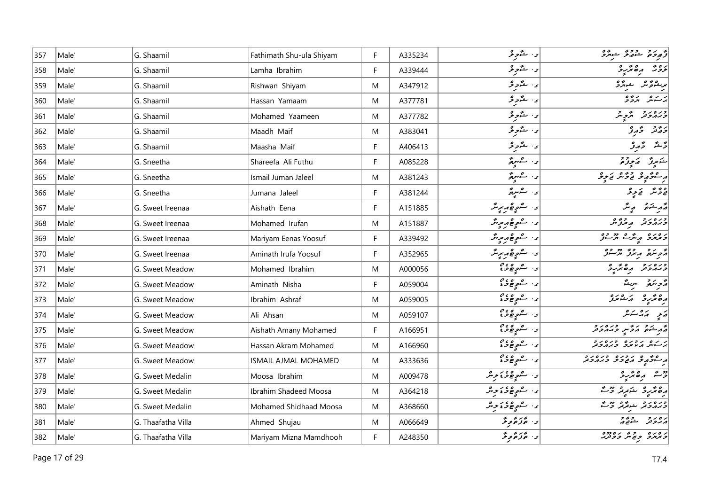| 357 | Male' | G. Shaamil         | Fathimath Shu-ula Shiyam | F  | A335234 | ر. ڪ <sub>م</sub> وگر                                       | توجوحو شهرقر شورده                                      |
|-----|-------|--------------------|--------------------------|----|---------|-------------------------------------------------------------|---------------------------------------------------------|
| 358 | Male' | G. Shaamil         | Lamha Ibrahim            | F. | A339444 | -<br>ا <sup>ی.</sup> سُنَّورُو                              | دورم موسور                                              |
| 359 | Male' | G. Shaamil         | Rishwan Shiyam           | M  | A347912 | ى شگەرگە                                                    | مرشوح شر شودگر                                          |
| 360 | Male' | G. Shaamil         | Hassan Yamaam            | M  | A377781 |                                                             | ير کے مردو                                              |
| 361 | Male' | G. Shaamil         | Mohamed Yaameen          | M  | A377782 | ى شگۈرگە                                                    | و رە ر د<br><i>د بر</i> گرىز<br>ېژىپ شر                 |
| 362 | Male' | G. Shaamil         | Maadh Maif               | M  | A383041 | ى شەرىر                                                     | درود ومرو                                               |
| 363 | Male' | G. Shaamil         | Maasha Maif              | F  | A406413 | ى شگۈمى<br>مە                                               | دَّے دَّبرو                                             |
| 364 | Male' | G. Sneetha         | Shareefa Ali Futhu       | F  | A085228 | ى شوپىچ                                                     | شَعِيرٌ - مَعِرْوَةٌ                                    |
| 365 | Male' | G. Sneetha         | Ismail Juman Jaleel      | M  | A381243 | شە سەھ                                                      | ړ جۇړي د ۋە ق                                           |
| 366 | Male' | G. Sneetha         | Jumana Jaleel            | F  | A381244 | ى شوپىر                                                     | ووير تختوي                                              |
| 367 | Male' | G. Sweet Ireenaa   | Aishath Eena             | F. | A151885 | ر . ڪ <sub>مو</sub> ِ <u>ع</u> ارِ <sub>م</sub> ريگر        | ړُمرڪو ميگر                                             |
| 368 | Male' | G. Sweet Ireenaa   | Mohamed Irufan           | M  | A151887 | ى شوھ موسىر                                                 | ورەرو ھەق ھە                                            |
| 369 | Male' | G. Sweet Ireenaa   | Mariyam Eenas Yoosuf     | F  | A339492 | ى سىم ھەرىپەتگە                                             | ره ره مسر مشهور ده وه<br>د بر مر مسر مسر                |
| 370 | Male' | G. Sweet Ireenaa   | Aminath Irufa Yoosuf     | F  | A352965 | ى سۇم قەرىرىتى                                              | ړ ځېږي <sub>په مر</sub> بو په ده وه کل                  |
| 371 | Male' | G. Sweet Meadow    | Mohamed Ibrahim          | M  | A000056 | $rac{1}{2}$                                                 | כנהגב גם מים                                            |
| 372 | Male' | G. Sweet Meadow    | Aminath Nisha            | F. | A059004 | وهيموع<br>ى •                                               | أأدو سكاني المستند                                      |
| 373 | Male' | G. Sweet Meadow    | Ibrahim Ashraf           | M  | A059005 | $\overset{\mathcal{C}}{\mathcal{E}}$                        | دەنزرو مشىر                                             |
| 374 | Male' | G. Sweet Meadow    | Ali Ahsan                | M  | A059107 | $\overset{\scriptscriptstyle O}{\mathcal E}_\mathcal{S}$ وځ | أميس مروسكر                                             |
| 375 | Male' | G. Sweet Meadow    | Aishath Amany Mohamed    | F. | A166951 | $\overset{\mathcal{C}}{\mathcal{E}}$                        | הו היבים וכלת כנסגב                                     |
| 376 | Male' | G. Sweet Meadow    | Hassan Akram Mohamed     | M  | A166960 | $\overset{\mathcal{C}}{\mathcal{E}}$                        | ر کامل بروره وره رو                                     |
| 377 | Male' | G. Sweet Meadow    | ISMAIL AJMAL MOHAMED     | M  | A333636 | $\overset{\mathcal{C}}{\mathcal{E}}$                        | بر عوضو موره وره در                                     |
| 378 | Male' | G. Sweet Medalin   | Moosa Ibrahim            | M  | A009478 | ى سىموقۇم ئوبىر                                             | اديم مشرد                                               |
| 379 | Male' | G. Sweet Medalin   | Ibrahim Shadeed Moosa    | M  | A364218 | ى سىموقۇم ئوبىر                                             | رەڭرى <sub>ر</sub> ۇ خ <sub>ى</sub> رىر ۋىگ             |
| 380 | Male' | G. Sweet Medalin   | Mohamed Shidhaad Moosa   | M  | A368660 | ى سىم قۇغ ئوبىر                                             | ورەر دېمبرتر ورمړ<br><i>وبرو</i> تر <sub>شوترتر و</sub> |
| 381 | Male' | G. Thaafatha Villa | Ahmed Shujau             | M  | A066649 | ، ئۇزۇمۇ                                                    | ره رح در در<br>پرېدر تر شويځ پر                         |
| 382 | Male' | G. Thaafatha Villa | Mariyam Mizna Mamdhooh   | F. | A248350 | - ئۇزۇمۇمۇ                                                  | מינים פיזיאה בפינה                                      |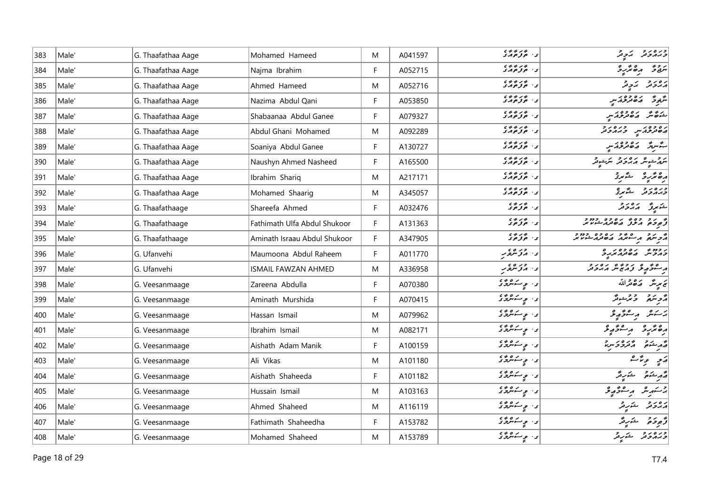| 383 | Male' | G. Thaafathaa Aage | Mohamed Hameed               | M  | A041597 |                                       | ورەرو پەرە                                      |
|-----|-------|--------------------|------------------------------|----|---------|---------------------------------------|-------------------------------------------------|
| 384 | Male' | G. Thaafathaa Aage | Najma Ibrahim                | F  | A052715 | پر پر پر پر<br>پ گوتو مر              | يَرْدِعُ = رِهْ يُرْرِدُ                        |
| 385 | Male' | G. Thaafathaa Aage | Ahmed Hameed                 | M  | A052716 | ور دور.<br>د گوره در                  | دەرو روم                                        |
| 386 | Male' | G. Thaafathaa Aage | Nazima Abdul Qani            | F  | A053850 | ور و ده.<br>د ۱ موزمی در              | شُعْرَفَ صَحْفَرَ حَمْدَ سِ                     |
| 387 | Male' | G. Thaafathaa Aage | Shabaanaa Abdul Ganee        | F  | A079327 | ور وده.<br>د ۱ گوتوم د                | $70701$<br>$-204$<br>$-204$                     |
| 388 | Male' | G. Thaafathaa Aage | Abdul Ghani Mohamed          | M  | A092289 | ور د ده.<br>د ۱ گوتوم د               | גם כפג'ית בג'ם גב                               |
| 389 | Male' | G. Thaafathaa Aage | Soaniya Abdul Ganee          | F  | A130727 | ور ده ده<br>د ۱ موزمی در              | سەسلا مەھىر ئەمىر                               |
| 390 | Male' | G. Thaafathaa Aage | Naushyn Ahmed Nasheed        | F  | A165500 |                                       | ىكەش ھەر ئەر ئەر ئىر                            |
| 391 | Male' | G. Thaafathaa Aage | Ibrahim Shariq               | M  | A217171 | پر پر پر پر<br>پ گوتو مر              | رە ئەر ئۇير                                     |
| 392 | Male' | G. Thaafathaa Aage | Mohamed Shaarig              | M  | A345057 | ور وده.<br>د ۱ موزمی در               | ورەرو شەرە                                      |
| 393 | Male' | G. Thaafathaage    | Shareefa Ahmed               | F  | A032476 | و . ه و و د<br>د . ه و و د د          | شكيرتى المكافرة                                 |
| 394 | Male' | G. Thaafathaage    | Fathimath Ulfa Abdul Shukoor | F  | A131363 | و د ود و د<br>د ۱ ه توڅو د            | ه د د ده ه ده ده دده د<br>گهچره مرکز مصرم شما د |
| 395 | Male' | G. Thaafathaage    | Aminath Israau Abdul Shukoor | F. | A347905 | ور وره د<br>د اگروه د                 |                                                 |
| 396 | Male' | G. Ufanvehi        | Maumoona Abdul Raheem        | F  | A011770 | ى بەر ھەير                            | ג כבב בספר ס<br>כגבית גם <i>נגיד</i> יב         |
| 397 | Male' | G. Ufanvehi        | ISMAIL FAWZAN AHMED          | M  | A336958 | ى بەر ھەير                            | مر شوگه و در ده در در د                         |
| 398 | Male' | G. Veesanmaage     | Zareena Abdulla              | F. | A070380 | <sub>ى</sub> ، م <sub>و</sub> سكىلىرى | ىم <i>ىمىيەنگر كەھ</i> قراللە                   |
| 399 | Male' | G. Veesanmaage     | Aminath Murshida             | F  | A070415 | <sub>ى مو</sub> سەمدى ئ               | أأدو سكاة المتحرج وكرائيس وكر                   |
| 400 | Male' | G. Veesanmaage     | Hassan Ismail                | M  | A079962 | <sub>ى</sub> ، م <sub>و</sub> سكىلىرى | ىرىكىش مەسترىمىقى                               |
| 401 | Male' | G. Veesanmaage     | Ibrahim Ismail               | M  | A082171 | <sub>ى مو</sub> سەمدى                 | ەرھەترىر <sup>ە</sup><br>برىشۇپەي               |
| 402 | Male' | G. Veesanmaage     | Aishath Adam Manik           | F  | A100159 | لى <sub>مو</sub> سەمبردى              | הו בים הבכבית                                   |
| 403 | Male' | G. Veesanmaage     | Ali Vikas                    | M  | A101180 | ر . <sub>و</sub> يە ئىردى             | أريمو عرشت                                      |
| 404 | Male' | G. Veesanmaage     | Aishath Shaheeda             | F  | A101182 | ی په چې شرچ د                         | مەر شىم ئىشىرىتى                                |
| 405 | Male' | G. Veesanmaage     | Hussain Ismail               | M  | A103163 | <sub>ى</sub> پەسەپرىدى                | يزخيرها المعاقبة فحر                            |
| 406 | Male' | G. Veesanmaage     | Ahmed Shaheed                | M  | A116119 | <sub>ى</sub> ، م <sub>و</sub> سكىلىرى | أرەر ئەرەر                                      |
| 407 | Male' | G. Veesanmaage     | Fathimath Shaheedha          | F  | A153782 | <sub>ى</sub> پەسەپرىدى                | وٌموحَمٌ شَرِيرٌ                                |
| 408 | Male' | G. Veesanmaage     | Mohamed Shaheed              | M  | A153789 | ى پەسكىرىدى                           | ورەرو شەرىر                                     |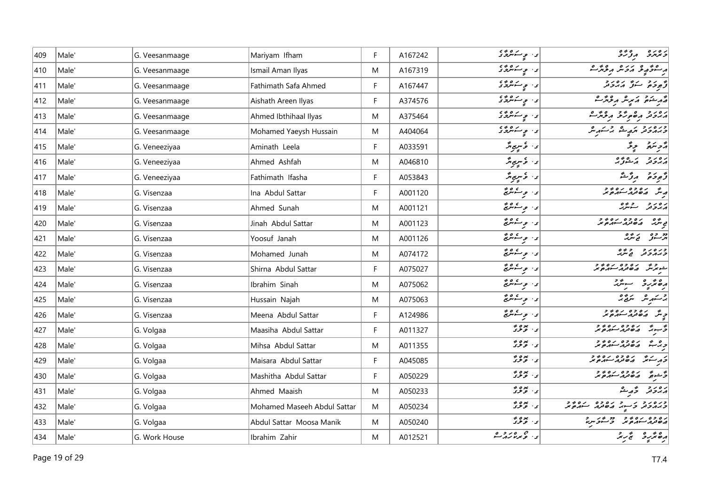| 409 | Male' | G. Veesanmaage | Mariyam Ifham               | F  | A167242 | <sub>ى</sub> . م <sub>و</sub> سەمىردى | و ده ده و ده و                                        |
|-----|-------|----------------|-----------------------------|----|---------|---------------------------------------|-------------------------------------------------------|
| 410 | Male' | G. Veesanmaage | Ismail Aman Ilyas           | M  | A167319 | ی ۔ موسکو پر دی                       | ر جۇ ئەر ئەر ئەر ئەر ئە                               |
| 411 | Male' | G. Veesanmaage | Fathimath Safa Ahmed        | F  | A167447 | ء ، وپەشقەتچ                          | و و ده ده ده ده د                                     |
| 412 | Male' | G. Veesanmaage | Aishath Areen Ilyas         | F. | A374576 | ، وپە ئىرومى                          | ړٌ پر ځنی تر پر شر پر وگر گ                           |
| 413 | Male' | G. Veesanmaage | Ahmed Ibthihaal Ilyas       | M  | A375464 | ، ، ، ، ئەشرىمى                       | גם גב גם ביב גבולים.<br>גיגבת גם ביב גבוליים          |
| 414 | Male' | G. Veesanmaage | Mohamed Yaeysh Hussain      | M  | A404064 | ء ، ويسكوري                           | ورەرو مەيدە برگىرىش                                   |
| 415 | Male' | G. Veneeziyaa  | Aminath Leela               | F  | A033591 | ى ئۇسىي ئە                            | ړٌ د سره پېڅر                                         |
| 416 | Male' | G. Veneeziyaa  | Ahmed Ashfah                | M  | A046810 | ى ئەسپىرىگە                           | رەرد رەۋە                                             |
| 417 | Male' | G. Veneeziyaa  | Fathimath Ifasha            | F  | A053843 | ى ئۇسرىيەتر                           | ژوده رژېڅ                                             |
| 418 | Male' | G. Visenzaa    | Ina Abdul Sattar            | F. | A001120 | ى پەر ئەشرىج                          | د شهر ده ده ده د و د                                  |
| 419 | Male' | G. Visenzaa    | Ahmed Sunah                 | M  | A001121 | ی ۔ حر سکویٹی                         | ره رو و وه و                                          |
| 420 | Male' | G. Visenzaa    | Jinah Abdul Sattar          | M  | A001123 | ی۰ و که میگی                          | ر ٥ و ٥ ر ٥ و و و<br>پره تو پر سه پر و تر<br>مح متركز |
| 421 | Male' | G. Visenzaa    | Yoosuf Janah                | M  | A001126 | ی ۔ حر ک شریح                         | دو وه په کار                                          |
| 422 | Male' | G. Visenzaa    | Mohamed Junah               | M  | A074172 | ى پەر ئەھەم                           | ورەر د دەھ<br><i>دىد</i> ەردىر   ئ                    |
| 423 | Male' | G. Visenzaa    | Shirna Abdul Sattar         | F  | A075027 | ى پەر شەھرىچ                          | و په ده وه ده دو و<br>شوپرس پره ترم سومرمو پر         |
| 424 | Male' | G. Visenzaa    | Ibrahim Sinah               | M  | A075062 | ى پەر شەھرىچ                          | أرەمزىر ئىستىد                                        |
| 425 | Male' | G. Visenzaa    | Hussain Najah               | M  | A075063 | ى پەر شەھرىچ                          | ج ڪمريش سرچ جي                                        |
| 426 | Male' | G. Visenzaa    | Meena Abdul Sattar          | F. | A124986 | ى پەر ئەشرىج                          | وش دەدە رەپرو                                         |
| 427 | Male' | G. Volgaa      | Maasiha Abdul Sattar        | F. | A011327 | پر مونونو<br>ي- فونونو                | ر ٥ ۶ ٥ ٥ ٥ ٠ ٥<br>پرې توپر شهرې تو<br>ۇ بىدۇ         |
| 428 | Male' | G. Volgaa      | Mihsa Abdul Sattar          | M  | A011355 | پر صورته<br>ی                         | ر ٥ ۶ ٥ ٥ ٧ ٥ ٠<br>د حادد سود موسر                    |
| 429 | Male' | G. Volgaa      | Maisara Abdul Sattar        | F  | A045085 | ر سوه پو<br>د افرون                   | ر در در ده ده در در                                   |
| 430 | Male' | G. Volgaa      | Mashitha Abdul Sattar       | F  | A050229 | ر سوه و.<br>د ۱ گروگ                  | ره وه ره دو.<br>پره توپر سوپره تر<br>ۇ شەمۇ           |
| 431 | Male' | G. Volgaa      | Ahmed Maaish                | M  | A050233 | ر سوه و.<br>د ۱ گروگ                  | رەرو ۋەھ                                              |
| 432 | Male' | G. Volgaa      | Mohamed Maseeh Abdul Sattar | M  | A050234 | ر سوه پو<br>د افرون                   | כנסגב ג' גם כם גם בב<br>בגתכת כ' ייג ג' פלג איינדי    |
| 433 | Male' | G. Volgaa      | Abdul Sattar Moosa Manik    | M  | A050240 | ر سوه و.<br>د ۱ گروگ                  | נסכם נסמכ מממנית<br>גיסנקג הממיני כל בינו             |
| 434 | Male' | G. Work House  | Ibrahim Zahir               | M  | A012521 | ى ئۇ ئورىز مەر ق                      | أرە ئۆر ئەرىر                                         |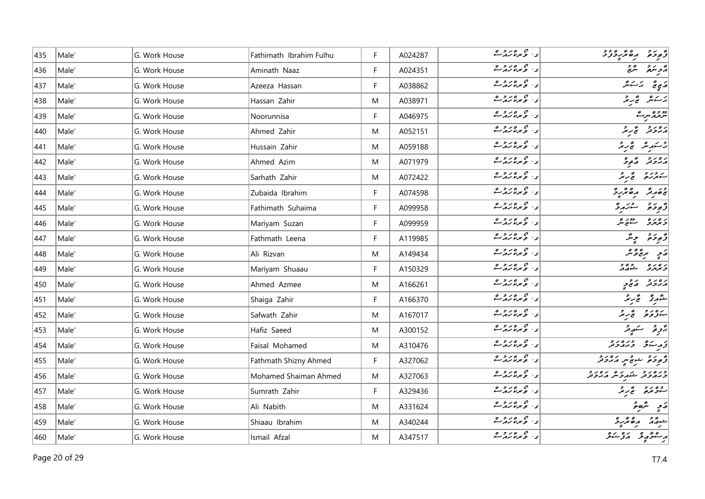| 435 | Male'  | G. Work House | Fathimath Ibrahim Fulhu | F  | A024287 | ى ، ئۇ برىز بەر ق          | أوجوحه وهند ودو                                    |
|-----|--------|---------------|-------------------------|----|---------|----------------------------|----------------------------------------------------|
| 436 | Male'  | G. Work House | Aminath Naaz            | F. | A024351 | ى ھىرىرىر ھ                | أثرجه تنزه<br>سرح                                  |
| 437 | Male'  | G. Work House | Azeeza Hassan           | F  | A038862 | ى ھىرىرىدە ھ               | ړې پخ<br>برسەيىتىر                                 |
| 438 | Male'  | G. Work House | Hassan Zahir            | M  | A038971 | ى ئۇبىر ئەرجىگە            | ىر سەش ئۇرىر                                       |
| 439 | Male'  | G. Work House | Noorunnisa              | F  | A046975 | ى ھىرىرىر ھ                | دد وه<br>سربر <sub>م</sub> رسر گ                   |
| 440 | Male'  | G. Work House | Ahmed Zahir             | M  | A052151 | ى ئەھمىر <i>مەرجى</i>      | رەرو ئېرىز                                         |
| 441 | lMale' | G. Work House | Hussain Zahir           | M  | A059188 | ى ھىرىرىر ھ                | برستهر شهر المجر بر                                |
| 442 | Male'  | G. Work House | Ahmed Azim              | M  | A071979 | ى ھىرىرىر ھ                | رەر د ئە                                           |
| 443 | Male'  | G. Work House | Sarhath Zahir           | M  | A072422 | ى ، ئۇبرى <i>دىن ئەرقى</i> | سىمرىر ئەرىر                                       |
| 444 | Male'  | G. Work House | Zubaida Ibrahim         | F  | A074598 | ى ، ئۇ بررىرى ئەر          | تم مورد معتبره                                     |
| 445 | Male'  | G. Work House | Fathimath Suhaima       | F  | A099958 | ى ، ئۇ بررىرى ئەر          | ستركره<br>ۇ بور بو                                 |
| 446 | Male'  | G. Work House | Mariyam Suzan           | F  | A099959 | ى ھىرىرىر ھ                | جوبر چر<br>ر ه ر ه<br><del>ر</del> بربرگ           |
| 447 | Male'  | G. Work House | Fathmath Leena          | F  | A119985 | ى ئەھمىر <i>مەرجى</i>      | ۇۋۇۋە بېتر                                         |
| 448 | Male'  | G. Work House | Ali Rizvan              | M  | A149434 | ى ، ئۇبرى <i>دىن ئەرقى</i> | أوسم بالمعتمد                                      |
| 449 | Male'  | G. Work House | Mariyam Shuaau          | F  | A150329 | ى ، ئۇ برىدىن كەر ھ        | ر ه ر ه<br><del>ر</del> بربر ژ<br>شقەھەر           |
| 450 | Male'  | G. Work House | Ahmed Azmee             | M  | A166261 | ى ئەھمىر مەرجەت<br>ئ       | د ۱۵ د ج ج                                         |
| 451 | Male'  | G. Work House | Shaiga Zahir            | F  | A166370 | ى ھىرىدىمىگە               | هُنگورنج محمر بر                                   |
| 452 | Male'  | G. Work House | Safwath Zahir           | M  | A167017 | ى ، ئۇ بررىرى ئەر          | رەرد ئەرىر                                         |
| 453 | Male'  | G. Work House | Hafiz Saeed             | M  | A300152 | ى ئەھمىر <i>مەرجى</i>      | گرۇ سەرقە                                          |
| 454 | Male'  | G. Work House | Faisal Mohamed          | M  | A310476 | ى ئۇبىر ئەرجىگە            | وَمُسِيَوْ وَرَمُ وَمَرَ                           |
| 455 | Male'  | G. Work House | Fathmath Shizny Ahmed   | F  | A327062 | ى ھىرىرىر ھ                | قهوده سوځ س ړه د د                                 |
| 456 | Male'  | G. Work House | Mohamed Shaiman Ahmed   | M  | A327063 | ى ، ئۇ بررىرى ئەر          | ورەرو شەرىكى رەرو                                  |
| 457 | Male'  | G. Work House | Sumrath Zahir           | F  | A329436 | ى ، ئۇبرى <i>دىن ئەرقى</i> | روه در و در                                        |
| 458 | Male'  | G. Work House | Ali Nabith              | M  | A331624 | ى ھىر مەر ئەھ              |                                                    |
| 459 | Male'  | G. Work House | Shiaau Ibrahim          | M  | A340244 | ى ئەھمىر <i>مەرجى</i>      | شورچه<br>ر<br>$\circ$ $\circ$ $\circ$<br>ە ھەترىرى |
| 460 | Male'  | G. Work House | Ismail Afzal            | M  | A347517 | ى ھىرىدىر ھ                | ر جۇرپۇ بەر شۇ                                     |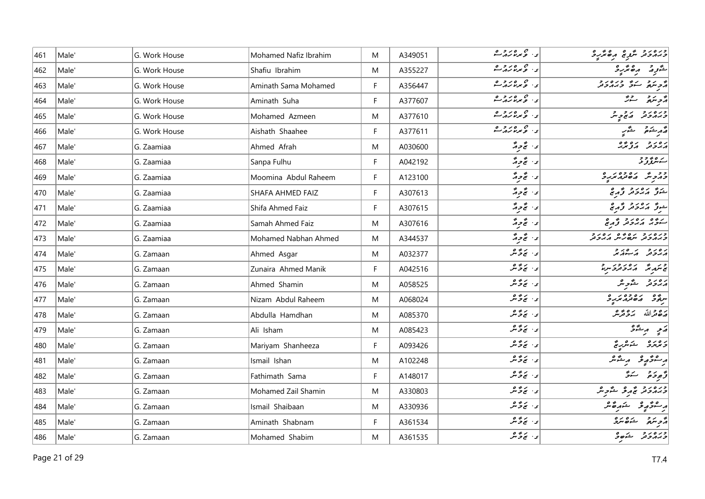| 461 | Male' | G. Work House | Mohamed Nafiz Ibrahim | M           | A349051 | ى ئۇبرىدىر شەر            | ورەرد شرع مەھرىر                                                                                 |
|-----|-------|---------------|-----------------------|-------------|---------|---------------------------|--------------------------------------------------------------------------------------------------|
| 462 | Male' | G. Work House | Shafiu Ibrahim        | M           | A355227 | ى ھىر مەر ئەھ             | شرورة وكالمربو                                                                                   |
| 463 | Male' | G. Work House | Aminath Sama Mohamed  | F           | A356447 | ى ھىرىدىن كە              | הכתב הי בנסגב                                                                                    |
| 464 | Male' | G. Work House | Aminath Suha          | F           | A377607 | ى ھىرىرىر ھ               | ړ څخه شر                                                                                         |
| 465 | Male' | G. Work House | Mohamed Azmeen        | M           | A377610 | ى ئەھمەر <i>مەدى</i> ر    | כנים בי הבקית                                                                                    |
| 466 | Male' | G. Work House | Aishath Shaahee       | $\mathsf F$ | A377611 | ى ھىرىدىر ھ               | وكمرشوق مشر                                                                                      |
| 467 | Male' | G. Zaamiaa    | Ahmed Afrah           | M           | A030600 | ی مج په چ                 | رەرو رەپەە                                                                                       |
| 468 | Male' | G. Zaamiaa    | Sanpa Fulhu           | F           | A042192 | ى بمج تروڭر               | ئەش <i>رۇ د</i> ىر                                                                               |
| 469 | Male' | G. Zaamiaa    | Moomina Abdul Raheem  | F           | A123100 | لى بۇ ئ <sup>ى</sup> ر ئە | כתכת הסינות הב                                                                                   |
| 470 | Male' | G. Zaamiaa    | SHAFA AHMED FAIZ      | F           | A307613 | ى بمج دېم                 | أشوش برەر د شهر ج                                                                                |
| 471 | Male' | G. Zaamiaa    | Shifa Ahmed Faiz      | F           | A307615 | ى بىج جەم                 | جود أرورو والم                                                                                   |
| 472 | Male' | G. Zaamiaa    | Samah Ahmed Faiz      | M           | A307616 | د بمج <del>د</del> رم     | ر ده و بره د د و د و                                                                             |
| 473 | Male' | G. Zaamiaa    | Mohamed Nabhan Ahmed  | M           | A344537 | ئ سمج جر چگر              | وره ر و ) ره ده و د و د و<br>وبروژفر استصراس وبروتر                                              |
| 474 | Male' | G. Zamaan     | Ahmed Asgar           | M           | A032377 | ى بىم ئۇنىگە              | גם גם גם גב<br>גגבע ג <del>דו</del> ג                                                            |
| 475 | Male' | G. Zamaan     | Zunaira Ahmed Manik   | F           | A042516 | ى بىچ تىر                 | ج شمه شهر ماه در در در در در در دارد.<br>محاسمه شهر شهر محمد در در دارد براستان محمد شهر دارد با |
| 476 | Male' | G. Zamaan     | Ahmed Shamin          | M           | A058525 | ى بە ئەڭرىش               | أرور والمقوش                                                                                     |
| 477 | Male' | G. Zamaan     | Nizam Abdul Raheem    | M           | A068024 | ى بى ئۇنىگە               | سرقو مەمدىر مىرىي 3                                                                              |
| 478 | Male' | G. Zamaan     | Abdulla Hamdhan       | M           | A085370 | ى بىچ ش                   | صصرالله<br>بر و ب <sub>و</sub> مر                                                                |
| 479 | Male' | G. Zamaan     | Ali Isham             | M           | A085423 | ى بىچ ش                   | ړې رېشو                                                                                          |
| 480 | Male' | G. Zamaan     | Mariyam Shanheeza     | F           | A093426 | ى ئىچ ئىر                 | رەرە خەشرىقى                                                                                     |
| 481 | Male' | G. Zamaan     | Ismail Ishan          | M           | A102248 | ى بىچ ش                   | رەۋرو رىشر                                                                                       |
| 482 | Male' | G. Zamaan     | Fathimath Sama        | F           | A148017 | ى بىچ ش                   | $\frac{1}{3^{2} - 3^{2} - 5^{2}}$                                                                |
| 483 | Male' | G. Zamaan     | Mohamed Zail Shamin   | M           | A330803 | ى ئەڭ ئىر                 | כלחכת האקב ביקיי                                                                                 |
| 484 | Male' | G. Zamaan     | Ismail Shaibaan       | M           | A330936 | ى بى ئۇنىگە               | رەش <sub>ۇر</sub> ھەرقىر                                                                         |
| 485 | Male' | G. Zamaan     | Aminath Shabnam       | F           | A361534 | ى ئەۋىر                   | أأرجع المنتصر                                                                                    |
| 486 | Male' | G. Zamaan     | Mohamed Shabim        | M           | A361535 | ى بىم ئەشر                | ورەرو دىرە<br><i>دىد</i> رونر شەھ                                                                |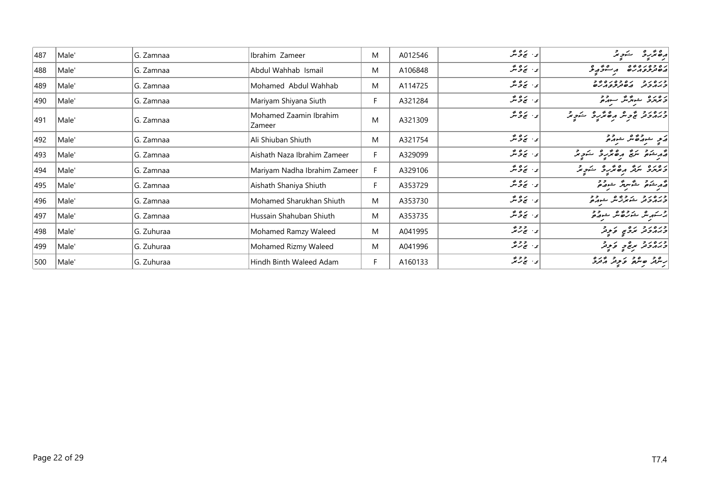| 487 | Male' | G. Zamnaa  | Ibrahim Zameer                   | M  | A012546 | ى بى ئەھەتگە             | رە ئرر ۋ<br>سكونر                                                         |
|-----|-------|------------|----------------------------------|----|---------|--------------------------|---------------------------------------------------------------------------|
| 488 | Male' | G. Zamnaa  | Abdul Wahhab Ismail              | M  | A106848 | ى بى ئۇنىگە              | ر ه د و د ه د ه<br>پره تر پر پر پ<br>ەرسىۋە بى                            |
| 489 | Male' | G. Zamnaa  | Mohamed Abdul Wahhab             | M  | A114725 | ى بى ئەھەتىگە            | ر ه و ه ر ه د و<br>په ه تر <del>و</del> و بر ه<br>و ره ر و<br>تر پر تر تر |
| 490 | Male' | G. Zamnaa  | Mariyam Shiyana Siuth            | F. | A321284 | ى بى ئەھەتگە             | ره ره ده شورگر سوره                                                       |
| 491 | Male' | G. Zamnaa  | Mohamed Zaamin Ibrahim<br>Zameer | M  | A321309 | <sub>ى</sub> ، ئىچە ئىگر | ورەرو پەر بەھترىرى سەچلا                                                  |
| 492 | Male' | G. Zamnaa  | Ali Shiuban Shiuth               | M  | A321754 | ى بى ئەھەتگە             | أيكو شوره من شوره.<br>الكو شوره من شوره.                                  |
| 493 | Male' | G. Zamnaa  | Aishath Naza Ibrahim Zameer      | F. | A329099 | ى بى ئۇنىگە              | <i>شمر شو و مربع م</i> ے شرح شور                                          |
| 494 | Male' | G. Zamnaa  | Mariyam Nadha Ibrahim Zameer     | F  | A329106 | ى بى ئۇنىگە              | גם גם גם גם כגב הביב                                                      |
| 495 | Male' | G. Zamnaa  | Aishath Shaniya Shiuth           | F. | A353729 | <sub>ى</sub> ، ئىچە ئىگە | أَمَّ مِ شَوْعٍ مُ شَرْمَتُ شَرْمَهُ وَ                                   |
| 496 | Male' | G. Zamnaa  | Mohamed Sharukhan Shiuth         | M  | A353730 | ء ، ئج ج مثر             | ورەرو درومۇ ھەدو                                                          |
| 497 | Male' | G. Zamnaa  | Hussain Shahuban Shiuth          | M  | A353735 | ى بى ئۇش                 | أبر كسكهر شركت مشركة المحرمي المحرمي                                      |
| 498 | Male' | G. Zuhuraa | Mohamed Ramzy Waleed             | M  | A041995 | لى سى جاچىقى             | ورەرو بروې كړ وله                                                         |
| 499 | Male' | G. Zuhuraa | Mohamed Rizmy Waleed             | M  | A041996 | ى سىم تەنتىگە            | درود د برج و کردگر                                                        |
| 500 | Male' | G. Zuhuraa | Hindh Binth Waleed Adam          | F. | A160133 | ى سىم ئەنگە              | برندگر حاشی و دید از آزاد                                                 |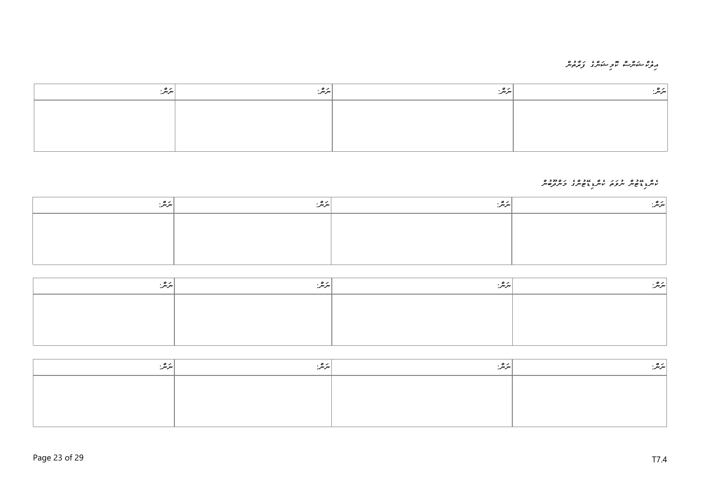## *w7qAn8m? sCw7mRo>u; wEw7mRw;sBo<*

| ' مرمر | 'يئرىثر: |
|--------|----------|
|        |          |
|        |          |
|        |          |

## *w7q9r@w7m> sCw7qHtFoFw7s; mAm=q7 w7qHtFoFw7s;*

| ىر تە | $\mathcal{O} \times$<br>$\sim$ | $\sim$<br>. . | لترنثر |
|-------|--------------------------------|---------------|--------|
|       |                                |               |        |
|       |                                |               |        |
|       |                                |               |        |

| انترنثر: | $^{\circ}$ | يبرهر | $^{\circ}$<br>سرسر |
|----------|------------|-------|--------------------|
|          |            |       |                    |
|          |            |       |                    |
|          |            |       |                    |

| ىرتىر: | 。<br>سر سر | .,<br>مرسر |
|--------|------------|------------|
|        |            |            |
|        |            |            |
|        |            |            |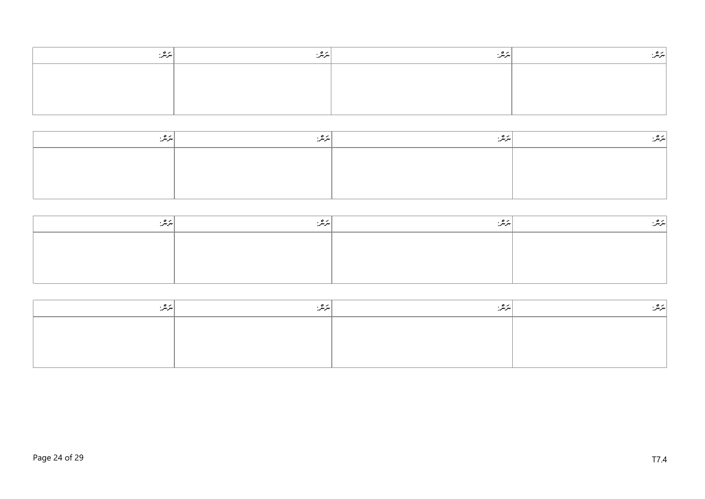| يزهر | $^{\circ}$ | ىئرىتر: |  |
|------|------------|---------|--|
|      |            |         |  |
|      |            |         |  |
|      |            |         |  |

| <sup>.</sup> سرسر. |  |
|--------------------|--|
|                    |  |
|                    |  |
|                    |  |

| ىئرىتر. | $\sim$ | ا بر هه. | لىرىش |
|---------|--------|----------|-------|
|         |        |          |       |
|         |        |          |       |
|         |        |          |       |

| 。<br>مرس. | $\overline{\phantom{a}}$<br>مر مىر | يتريثر |
|-----------|------------------------------------|--------|
|           |                                    |        |
|           |                                    |        |
|           |                                    |        |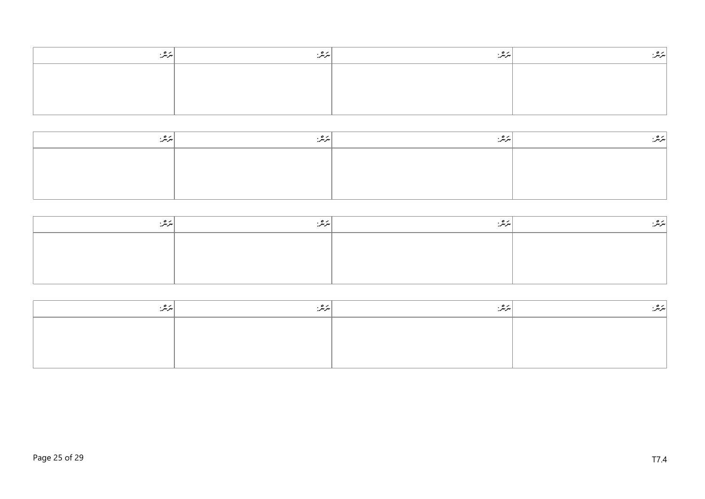| ير هو . | $\overline{\phantom{a}}$ | يرمر | اير هنه. |
|---------|--------------------------|------|----------|
|         |                          |      |          |
|         |                          |      |          |
|         |                          |      |          |

| ىر تىر: | $\circ$ $\sim$<br>" سرسر . | يترمير | o . |
|---------|----------------------------|--------|-----|
|         |                            |        |     |
|         |                            |        |     |
|         |                            |        |     |

| انترنثر: | ر ه |  |
|----------|-----|--|
|          |     |  |
|          |     |  |
|          |     |  |

|  | . ه |
|--|-----|
|  |     |
|  |     |
|  |     |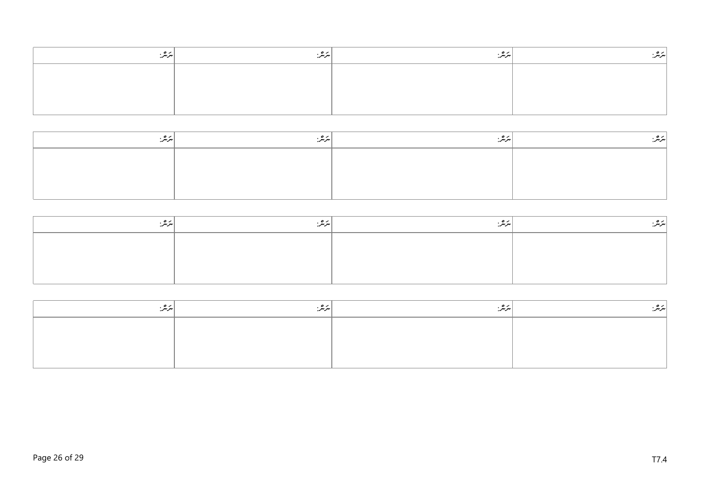| ير هو . | $\overline{\phantom{a}}$ | يرمر | اير هنه. |
|---------|--------------------------|------|----------|
|         |                          |      |          |
|         |                          |      |          |
|         |                          |      |          |

| ىر تىر: | $\circ$ $\sim$<br>" سرسر . | يترمير | o . |
|---------|----------------------------|--------|-----|
|         |                            |        |     |
|         |                            |        |     |
|         |                            |        |     |

| 'تترنثر: | 。<br>,,,, |  |
|----------|-----------|--|
|          |           |  |
|          |           |  |
|          |           |  |

|  | . ه |
|--|-----|
|  |     |
|  |     |
|  |     |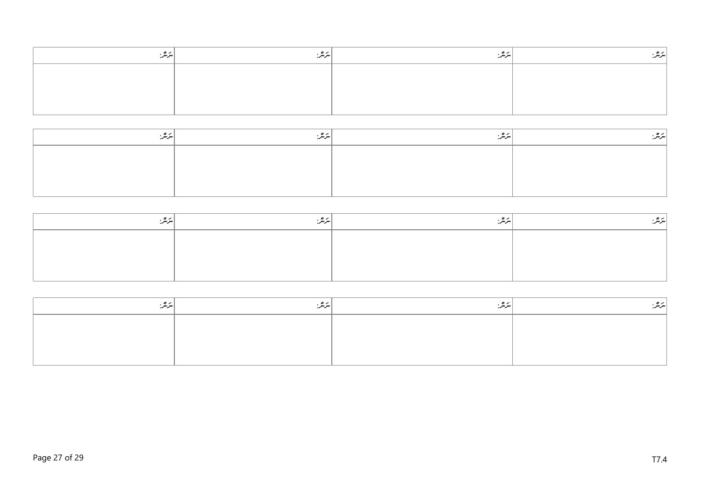| $\cdot$ | ο. | $\frac{\circ}{\cdot}$ | $\sim$<br>سرسر |
|---------|----|-----------------------|----------------|
|         |    |                       |                |
|         |    |                       |                |
|         |    |                       |                |

| يريثن | ' سرسر . |  |
|-------|----------|--|
|       |          |  |
|       |          |  |
|       |          |  |

| بر ه | 。 | $\overline{\phantom{0}}$<br>َ سومس |  |
|------|---|------------------------------------|--|
|      |   |                                    |  |
|      |   |                                    |  |
|      |   |                                    |  |

| 。<br>. س | ىرىىر |  |
|----------|-------|--|
|          |       |  |
|          |       |  |
|          |       |  |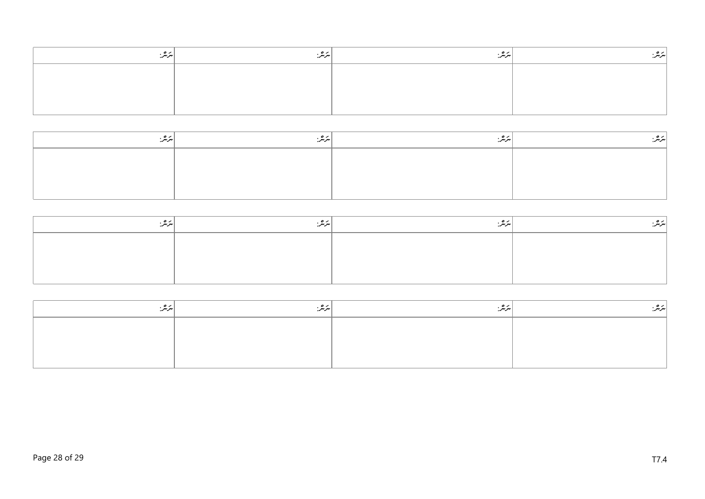| ير هو . | $\overline{\phantom{a}}$ | يرمر | لتزمثن |
|---------|--------------------------|------|--------|
|         |                          |      |        |
|         |                          |      |        |
|         |                          |      |        |

| ىر تىر: | $\circ$ $\sim$<br>" سرسر . | يترمير | o . |
|---------|----------------------------|--------|-----|
|         |                            |        |     |
|         |                            |        |     |
|         |                            |        |     |

| 'تترنثر: | 。<br>,,,, |  |
|----------|-----------|--|
|          |           |  |
|          |           |  |
|          |           |  |

|  | . ه |
|--|-----|
|  |     |
|  |     |
|  |     |